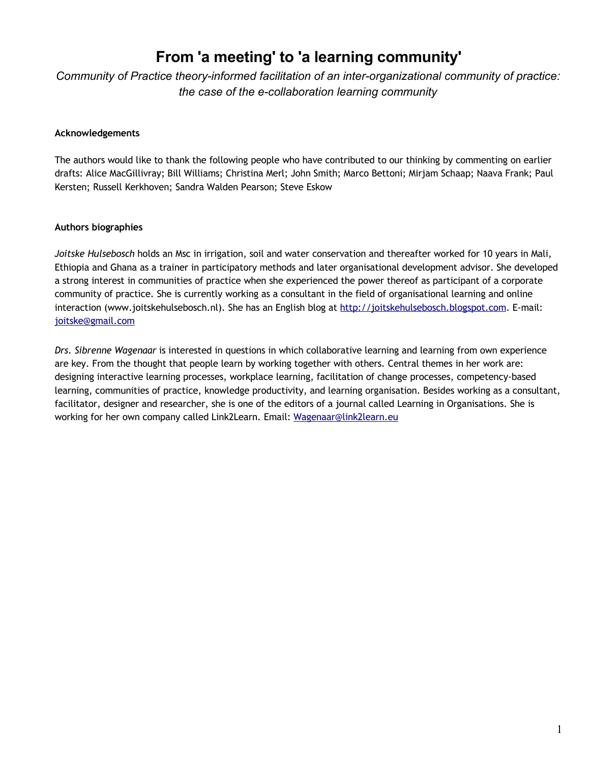# **From 'a meeting' to 'a learning community'**

*Community of Practice theory-informed facilitation of an inter-organizational community of practice: the case of the e-collaboration learning community*

## **Acknowledgements**

The authors would like to thank the following people who have contributed to our thinking by commenting on earlier drafts: Alice MacGillivray; Bill Williams; Christina Merl; John Smith; Marco Bettoni; Mirjam Schaap; Naava Frank; Paul Kersten; Russell Kerkhoven; Sandra Walden Pearson; Steve Eskow

## **Authors biographies**

*Joitske Hulsebosch* holds an Msc in irrigation, soil and water conservation and thereafter worked for 10 years in Mali, Ethiopia and Ghana as a trainer in participatory methods and later organisational development advisor. She developed a strong interest in communities of practice when she experienced the power thereof as participant of a corporate community of practice. She is currently working as a consultant in the field of organisational learning and online interaction (www.joitskehulsebosch.nl). She has an English blog at [http://joitskehulsebosch.blogspot.com.](https://mail.pso.nl/exchweb/bin/redir.asp?URL=http://joitskehulsebosch.blogspot.com) E-mail: [joitske@gmail.com](mailto:joitske@gmail.com)

*Drs. Sibrenne Wagenaar* is interested in questions in which collaborative learning and learning from own experience are key. From the thought that people learn by working together with others. Central themes in her work are: designing interactive learning processes, workplace learning, facilitation of change processes, competency-based learning, communities of practice, knowledge productivity, and learning organisation. Besides working as a consultant, facilitator, designer and researcher, she is one of the editors of a journal called Learning in Organisations. She is working for her own company called Link2Learn. Email: [Wagenaar@link2learn.eu](mailto:Wagenaar@link2learn.eu)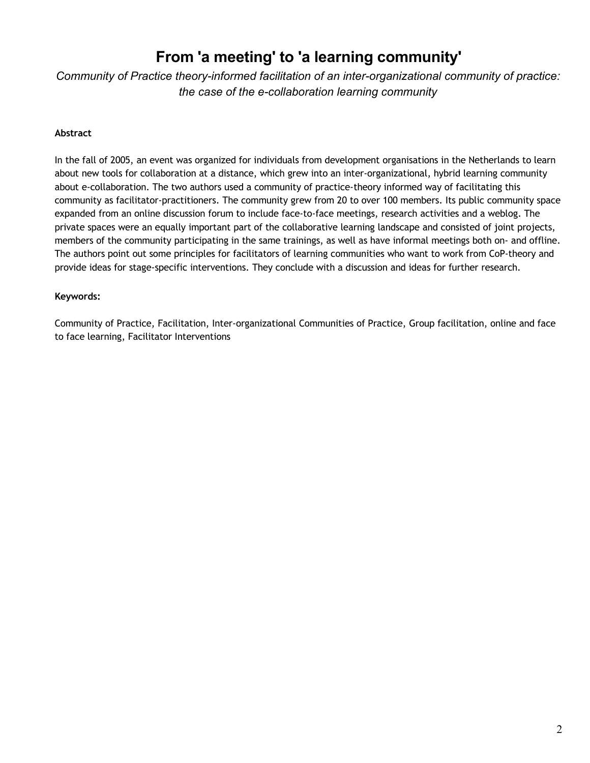# **From 'a meeting' to 'a learning community'**

*Community of Practice theory-informed facilitation of an inter-organizational community of practice: the case of the e-collaboration learning community*

# **Abstract**

In the fall of 2005, an event was organized for individuals from development organisations in the Netherlands to learn about new tools for collaboration at a distance, which grew into an inter-organizational, hybrid learning community about e-collaboration. The two authors used a community of practice-theory informed way of facilitating this community as facilitator-practitioners. The community grew from 20 to over 100 members. Its public community space expanded from an online discussion forum to include face-to-face meetings, research activities and a weblog. The private spaces were an equally important part of the collaborative learning landscape and consisted of joint projects, members of the community participating in the same trainings, as well as have informal meetings both on- and offline. The authors point out some principles for facilitators of learning communities who want to work from CoP-theory and provide ideas for stage-specific interventions. They conclude with a discussion and ideas for further research.

## **Keywords:**

Community of Practice, Facilitation, Inter-organizational Communities of Practice, Group facilitation, online and face to face learning, Facilitator Interventions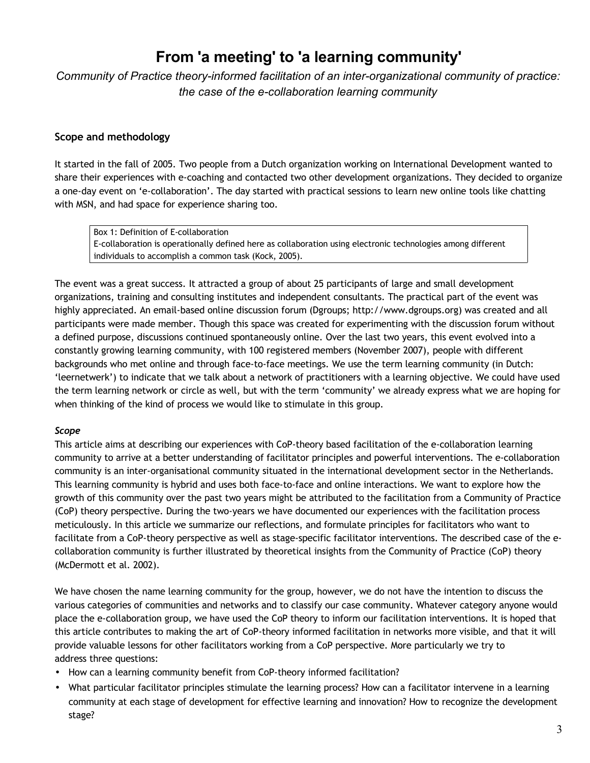# **From 'a meeting' to 'a learning community'**

*Community of Practice theory-informed facilitation of an inter-organizational community of practice: the case of the e-collaboration learning community*

# **Scope and methodology**

It started in the fall of 2005. Two people from a Dutch organization working on International Development wanted to share their experiences with e-coaching and contacted two other development organizations. They decided to organize a one-day event on 'e-collaboration'. The day started with practical sessions to learn new online tools like chatting with MSN, and had space for experience sharing too.

Box 1: Definition of E-collaboration E-collaboration is operationally defined here as collaboration using electronic technologies among different individuals to accomplish a common task (Kock, 2005).

The event was a great success. It attracted a group of about 25 participants of large and small development organizations, training and consulting institutes and independent consultants. The practical part of the event was highly appreciated. An email-based online discussion forum (Dgroups; http://www.dgroups.org) was created and all participants were made member. Though this space was created for experimenting with the discussion forum without a defined purpose, discussions continued spontaneously online. Over the last two years, this event evolved into a constantly growing learning community, with 100 registered members (November 2007), people with different backgrounds who met online and through face-to-face meetings. We use the term learning community (in Dutch: 'leernetwerk') to indicate that we talk about a network of practitioners with a learning objective. We could have used the term learning network or circle as well, but with the term 'community' we already express what we are hoping for when thinking of the kind of process we would like to stimulate in this group.

# *Scope*

This article aims at describing our experiences with CoP-theory based facilitation of the e-collaboration learning community to arrive at a better understanding of facilitator principles and powerful interventions. The e-collaboration community is an inter-organisational community situated in the international development sector in the Netherlands. This learning community is hybrid and uses both face-to-face and online interactions. We want to explore how the growth of this community over the past two years might be attributed to the facilitation from a Community of Practice (CoP) theory perspective. During the two-years we have documented our experiences with the facilitation process meticulously. In this article we summarize our reflections, and formulate principles for facilitators who want to facilitate from a CoP-theory perspective as well as stage-specific facilitator interventions. The described case of the ecollaboration community is further illustrated by theoretical insights from the Community of Practice (CoP) theory (McDermott et al. 2002).

We have chosen the name learning community for the group, however, we do not have the intention to discuss the various categories of communities and networks and to classify our case community. Whatever category anyone would place the e-collaboration group, we have used the CoP theory to inform our facilitation interventions. It is hoped that this article contributes to making the art of CoP-theory informed facilitation in networks more visible, and that it will provide valuable lessons for other facilitators working from a CoP perspective. More particularly we try to address three questions:

- How can a learning community benefit from CoP-theory informed facilitation?
- What particular facilitator principles stimulate the learning process? How can a facilitator intervene in a learning community at each stage of development for effective learning and innovation? How to recognize the development stage?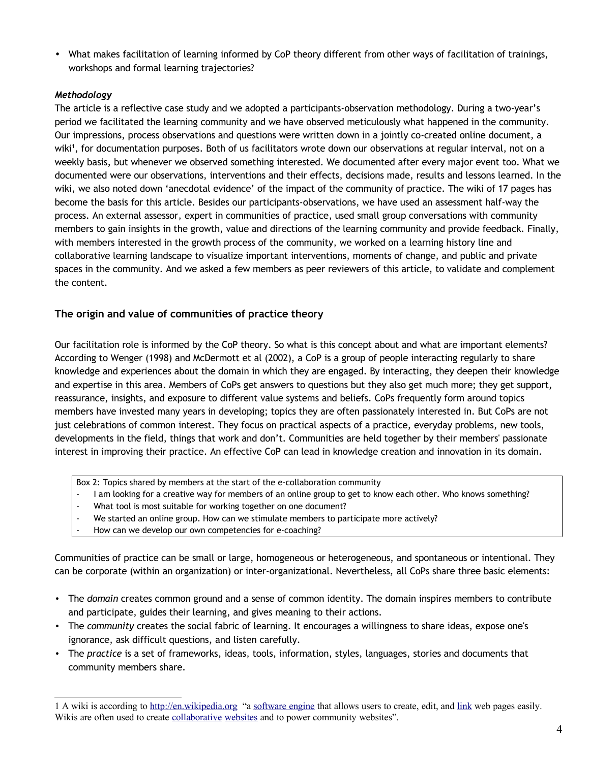• What makes facilitation of learning informed by CoP theory different from other ways of facilitation of trainings, workshops and formal learning trajectories?

# *Methodology*

The article is a reflective case study and we adopted a participants-observation methodology. During a two-year's period we facilitated the learning community and we have observed meticulously what happened in the community. Our impressions, process observations and questions were written down in a jointly co-created online document, a wiki<sup>[1](#page-3-0)</sup>, for documentation purposes. Both of us facilitators wrote down our observations at regular interval, not on a weekly basis, but whenever we observed something interested. We documented after every major event too. What we documented were our observations, interventions and their effects, decisions made, results and lessons learned. In the wiki, we also noted down 'anecdotal evidence' of the impact of the community of practice. The wiki of 17 pages has become the basis for this article. Besides our participants-observations, we have used an assessment half-way the process. An external assessor, expert in communities of practice, used small group conversations with community members to gain insights in the growth, value and directions of the learning community and provide feedback. Finally, with members interested in the growth process of the community, we worked on a learning history line and collaborative learning landscape to visualize important interventions, moments of change, and public and private spaces in the community. And we asked a few members as peer reviewers of this article, to validate and complement the content.

# **The origin and value of communities of practice theory**

Our facilitation role is informed by the CoP theory. So what is this concept about and what are important elements? According to Wenger (1998) and McDermott et al (2002), a CoP is a group of people interacting regularly to share knowledge and experiences about the domain in which they are engaged. By interacting, they deepen their knowledge and expertise in this area. Members of CoPs get answers to questions but they also get much more; they get support, reassurance, insights, and exposure to different value systems and beliefs. CoPs frequently form around topics members have invested many years in developing; topics they are often passionately interested in. But CoPs are not just celebrations of common interest. They focus on practical aspects of a practice, everyday problems, new tools, developments in the field, things that work and don't. Communities are held together by their members' passionate interest in improving their practice. An effective CoP can lead in knowledge creation and innovation in its domain.

- Box 2: Topics shared by members at the start of the e-collaboration community
- I am looking for a creative way for members of an online group to get to know each other. Who knows something?
- What tool is most suitable for working together on one document?
- We started an online group. How can we stimulate members to participate more actively?
- How can we develop our own competencies for e-coaching?

Communities of practice can be small or large, homogeneous or heterogeneous, and spontaneous or intentional. They can be corporate (within an organization) or inter-organizational. Nevertheless, all CoPs share three basic elements:

- The *domain* creates common ground and a sense of common identity. The domain inspires members to contribute and participate, guides their learning, and gives meaning to their actions.
- The *community* creates the social fabric of learning. It encourages a willingness to share ideas, expose one's ignorance, ask difficult questions, and listen carefully.
- The *practice* is a set of frameworks, ideas, tools, information, styles, languages, stories and documents that community members share.

<span id="page-3-0"></span><sup>1</sup> A wiki is according to [http://en.wikipedia.org](http://en.wikipedia.org/) "a [software engine](http://en.wikipedia.org/wiki/Software_engine) that allows users to create, edit, and [link](http://en.wikipedia.org/wiki/Hyperlink) web pages easily. Wikis are often used to create [collaborative](http://en.wikipedia.org/wiki/Collaborative) [websites](http://en.wikipedia.org/wiki/Website) and to power community websites".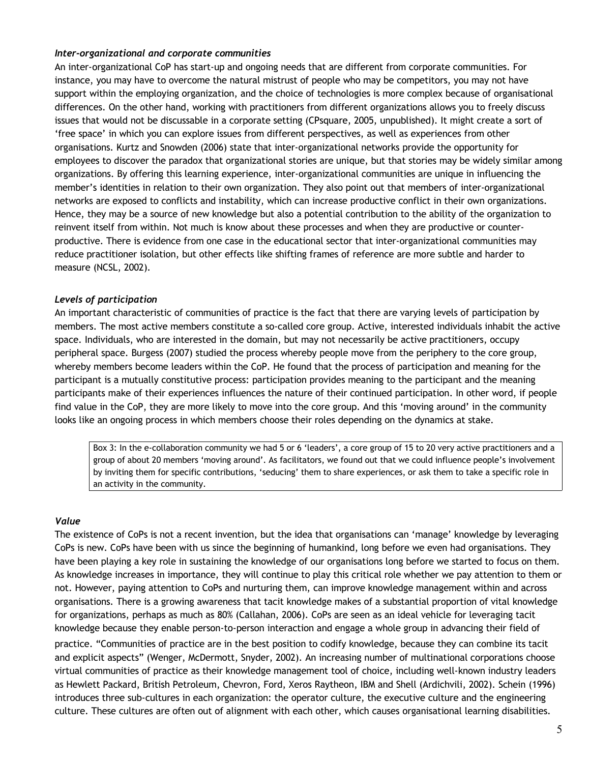## *Inter-organizational and corporate communities*

An inter-organizational CoP has start-up and ongoing needs that are different from corporate communities. For instance, you may have to overcome the natural mistrust of people who may be competitors, you may not have support within the employing organization, and the choice of technologies is more complex because of organisational differences. On the other hand, working with practitioners from different organizations allows you to freely discuss issues that would not be discussable in a corporate setting (CPsquare, 2005, unpublished). It might create a sort of 'free space' in which you can explore issues from different perspectives, as well as experiences from other organisations. Kurtz and Snowden (2006) state that inter-organizational networks provide the opportunity for employees to discover the paradox that organizational stories are unique, but that stories may be widely similar among organizations. By offering this learning experience, inter-organizational communities are unique in influencing the member's identities in relation to their own organization. They also point out that members of inter-organizational networks are exposed to conflicts and instability, which can increase productive conflict in their own organizations. Hence, they may be a source of new knowledge but also a potential contribution to the ability of the organization to reinvent itself from within. Not much is know about these processes and when they are productive or counterproductive. There is evidence from one case in the educational sector that inter-organizational communities may reduce practitioner isolation, but other effects like shifting frames of reference are more subtle and harder to measure (NCSL, 2002).

## *Levels of participation*

An important characteristic of communities of practice is the fact that there are varying levels of participation by members. The most active members constitute a so-called core group. Active, interested individuals inhabit the active space. Individuals, who are interested in the domain, but may not necessarily be active practitioners, occupy peripheral space. Burgess (2007) studied the process whereby people move from the periphery to the core group, whereby members become leaders within the CoP. He found that the process of participation and meaning for the participant is a mutually constitutive process: participation provides meaning to the participant and the meaning participants make of their experiences influences the nature of their continued participation. In other word, if people find value in the CoP, they are more likely to move into the core group. And this 'moving around' in the community looks like an ongoing process in which members choose their roles depending on the dynamics at stake.

Box 3: In the e-collaboration community we had 5 or 6 'leaders', a core group of 15 to 20 very active practitioners and a group of about 20 members 'moving around'. As facilitators, we found out that we could influence people's involvement by inviting them for specific contributions, 'seducing' them to share experiences, or ask them to take a specific role in an activity in the community.

#### *Value*

The existence of CoPs is not a recent invention, but the idea that organisations can 'manage' knowledge by leveraging CoPs is new. CoPs have been with us since the beginning of humankind, long before we even had organisations. They have been playing a key role in sustaining the knowledge of our organisations long before we started to focus on them. As knowledge increases in importance, they will continue to play this critical role whether we pay attention to them or not. However, paying attention to CoPs and nurturing them, can improve knowledge management within and across organisations. There is a growing awareness that tacit knowledge makes of a substantial proportion of vital knowledge for organizations, perhaps as much as 80% (Callahan, 2006). CoPs are seen as an ideal vehicle for leveraging tacit knowledge because they enable person-to-person interaction and engage a whole group in advancing their field of

practice. "Communities of practice are in the best position to codify knowledge, because they can combine its tacit and explicit aspects" (Wenger, McDermott, Snyder, 2002). An increasing number of multinational corporations choose virtual communities of practice as their knowledge management tool of choice, including well-known industry leaders as Hewlett Packard, British Petroleum, Chevron, Ford, Xeros Raytheon, IBM and Shell (Ardichvili, 2002). Schein (1996) introduces three sub-cultures in each organization: the operator culture, the executive culture and the engineering culture. These cultures are often out of alignment with each other, which causes organisational learning disabilities.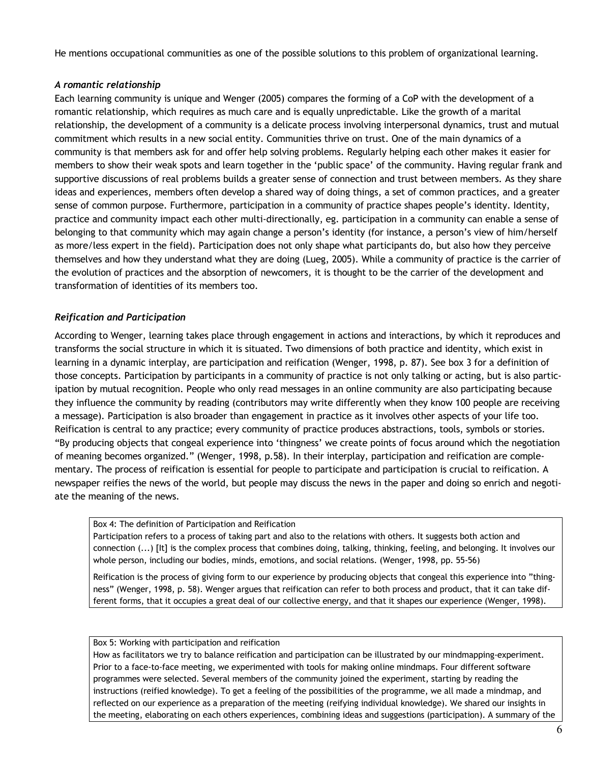He mentions occupational communities as one of the possible solutions to this problem of organizational learning.

# *A romantic relationship*

Each learning community is unique and Wenger (2005) compares the forming of a CoP with the development of a romantic relationship, which requires as much care and is equally unpredictable. Like the growth of a marital relationship, the development of a community is a delicate process involving interpersonal dynamics, trust and mutual commitment which results in a new social entity. Communities thrive on trust. One of the main dynamics of a community is that members ask for and offer help solving problems. Regularly helping each other makes it easier for members to show their weak spots and learn together in the 'public space' of the community. Having regular frank and supportive discussions of real problems builds a greater sense of connection and trust between members. As they share ideas and experiences, members often develop a shared way of doing things, a set of common practices, and a greater sense of common purpose. Furthermore, participation in a community of practice shapes people's identity. Identity, practice and community impact each other multi-directionally, eg. participation in a community can enable a sense of belonging to that community which may again change a person's identity (for instance, a person's view of him/herself as more/less expert in the field). Participation does not only shape what participants do, but also how they perceive themselves and how they understand what they are doing (Lueg, 2005). While a community of practice is the carrier of the evolution of practices and the absorption of newcomers, it is thought to be the carrier of the development and transformation of identities of its members too.

## *Reification and Participation*

According to Wenger, learning takes place through engagement in actions and interactions, by which it reproduces and transforms the social structure in which it is situated. Two dimensions of both practice and identity, which exist in learning in a dynamic interplay, are participation and reification (Wenger, 1998, p. 87). See box 3 for a definition of those concepts. Participation by participants in a community of practice is not only talking or acting, but is also participation by mutual recognition. People who only read messages in an online community are also participating because they influence the community by reading (contributors may write differently when they know 100 people are receiving a message). Participation is also broader than engagement in practice as it involves other aspects of your life too. Reification is central to any practice; every community of practice produces abstractions, tools, symbols or stories. "By producing objects that congeal experience into 'thingness' we create points of focus around which the negotiation of meaning becomes organized." (Wenger, 1998, p.58). In their interplay, participation and reification are complementary. The process of reification is essential for people to participate and participation is crucial to reification. A newspaper reifies the news of the world, but people may discuss the news in the paper and doing so enrich and negotiate the meaning of the news.

#### Box 4: The definition of Participation and Reification

Participation refers to a process of taking part and also to the relations with others. It suggests both action and connection (...) [It] is the complex process that combines doing, talking, thinking, feeling, and belonging. It involves our whole person, including our bodies, minds, emotions, and social relations. (Wenger, 1998, pp. 55-56)

Reification is the process of giving form to our experience by producing objects that congeal this experience into "thingness" (Wenger, 1998, p. 58). Wenger argues that reification can refer to both process and product, that it can take different forms, that it occupies a great deal of our collective energy, and that it shapes our experience (Wenger, 1998).

#### Box 5: Working with participation and reification

How as facilitators we try to balance reification and participation can be illustrated by our mindmapping-experiment. Prior to a face-to-face meeting, we experimented with tools for making online mindmaps. Four different software programmes were selected. Several members of the community joined the experiment, starting by reading the instructions (reified knowledge). To get a feeling of the possibilities of the programme, we all made a mindmap, and reflected on our experience as a preparation of the meeting (reifying individual knowledge). We shared our insights in the meeting, elaborating on each others experiences, combining ideas and suggestions (participation). A summary of the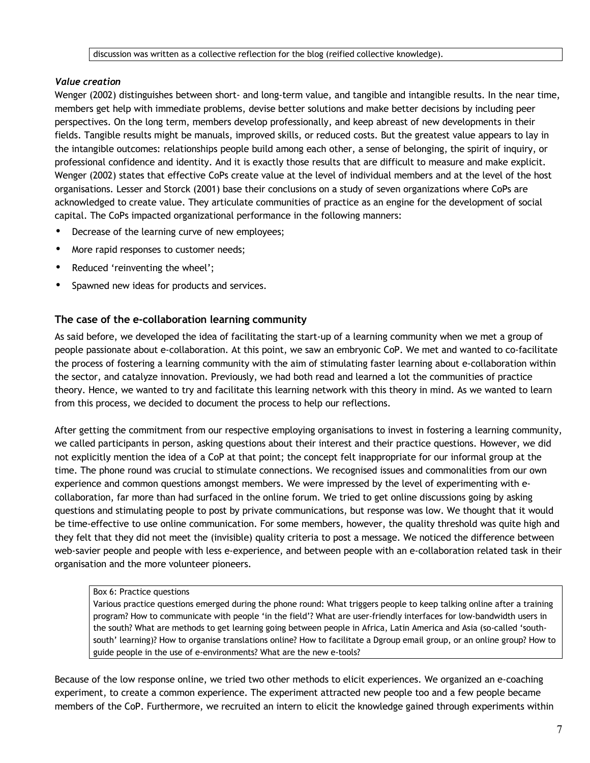# *Value creation*

Wenger (2002) distinguishes between short- and long-term value, and tangible and intangible results. In the near time, members get help with immediate problems, devise better solutions and make better decisions by including peer perspectives. On the long term, members develop professionally, and keep abreast of new developments in their fields. Tangible results might be manuals, improved skills, or reduced costs. But the greatest value appears to lay in the intangible outcomes: relationships people build among each other, a sense of belonging, the spirit of inquiry, or professional confidence and identity. And it is exactly those results that are difficult to measure and make explicit. Wenger (2002) states that effective CoPs create value at the level of individual members and at the level of the host organisations. Lesser and Storck (2001) base their conclusions on a study of seven organizations where CoPs are acknowledged to create value. They articulate communities of practice as an engine for the development of social capital. The CoPs impacted organizational performance in the following manners:

- Decrease of the learning curve of new employees;
- More rapid responses to customer needs;
- Reduced 'reinventing the wheel';
- Spawned new ideas for products and services.

## **The case of the e-collaboration learning community**

As said before, we developed the idea of facilitating the start-up of a learning community when we met a group of people passionate about e-collaboration. At this point, we saw an embryonic CoP. We met and wanted to co-facilitate the process of fostering a learning community with the aim of stimulating faster learning about e-collaboration within the sector, and catalyze innovation. Previously, we had both read and learned a lot the communities of practice theory. Hence, we wanted to try and facilitate this learning network with this theory in mind. As we wanted to learn from this process, we decided to document the process to help our reflections.

After getting the commitment from our respective employing organisations to invest in fostering a learning community, we called participants in person, asking questions about their interest and their practice questions. However, we did not explicitly mention the idea of a CoP at that point; the concept felt inappropriate for our informal group at the time. The phone round was crucial to stimulate connections. We recognised issues and commonalities from our own experience and common questions amongst members. We were impressed by the level of experimenting with ecollaboration, far more than had surfaced in the online forum. We tried to get online discussions going by asking questions and stimulating people to post by private communications, but response was low. We thought that it would be time-effective to use online communication. For some members, however, the quality threshold was quite high and they felt that they did not meet the (invisible) quality criteria to post a message. We noticed the difference between web-savier people and people with less e-experience, and between people with an e-collaboration related task in their organisation and the more volunteer pioneers.

## Box 6: Practice questions

Various practice questions emerged during the phone round: What triggers people to keep talking online after a training program? How to communicate with people 'in the field'? What are user-friendly interfaces for low-bandwidth users in the south? What are methods to get learning going between people in Africa, Latin America and Asia (so-called 'southsouth' learning)? How to organise translations online? How to facilitate a Dgroup email group, or an online group? How to guide people in the use of e-environments? What are the new e-tools?

Because of the low response online, we tried two other methods to elicit experiences. We organized an e-coaching experiment, to create a common experience. The experiment attracted new people too and a few people became members of the CoP. Furthermore, we recruited an intern to elicit the knowledge gained through experiments within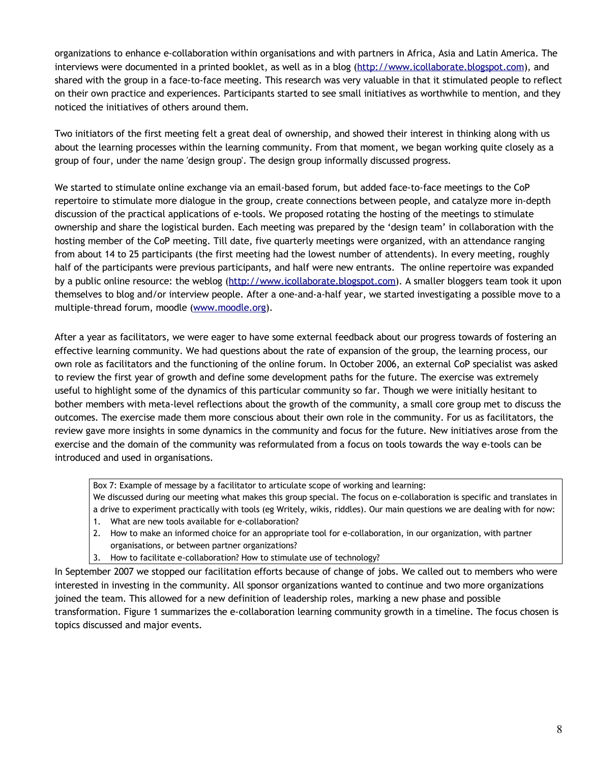organizations to enhance e-collaboration within organisations and with partners in Africa, Asia and Latin America. The interviews were documented in a printed booklet, as well as in a blog [\(http://www.icollaborate.blogspot.com\)](http://www.icollaborate.blogspot.com/), and shared with the group in a face-to-face meeting. This research was very valuable in that it stimulated people to reflect on their own practice and experiences. Participants started to see small initiatives as worthwhile to mention, and they noticed the initiatives of others around them.

Two initiators of the first meeting felt a great deal of ownership, and showed their interest in thinking along with us about the learning processes within the learning community. From that moment, we began working quite closely as a group of four, under the name 'design group'. The design group informally discussed progress.

We started to stimulate online exchange via an email-based forum, but added face-to-face meetings to the CoP repertoire to stimulate more dialogue in the group, create connections between people, and catalyze more in-depth discussion of the practical applications of e-tools. We proposed rotating the hosting of the meetings to stimulate ownership and share the logistical burden. Each meeting was prepared by the 'design team' in collaboration with the hosting member of the CoP meeting. Till date, five quarterly meetings were organized, with an attendance ranging from about 14 to 25 participants (the first meeting had the lowest number of attendents). In every meeting, roughly half of the participants were previous participants, and half were new entrants. The online repertoire was expanded by a public online resource: the weblog [\(http://www.icollaborate.blogspot.com\)](http://www.icollaborate.blogspot.com/). A smaller bloggers team took it upon themselves to blog and/or interview people. After a one-and-a-half year, we started investigating a possible move to a multiple-thread forum, moodle [\(www.moodle.org\)](http://www.moodle.org/).

After a year as facilitators, we were eager to have some external feedback about our progress towards of fostering an effective learning community. We had questions about the rate of expansion of the group, the learning process, our own role as facilitators and the functioning of the online forum. In October 2006, an external CoP specialist was asked to review the first year of growth and define some development paths for the future. The exercise was extremely useful to highlight some of the dynamics of this particular community so far. Though we were initially hesitant to bother members with meta-level reflections about the growth of the community, a small core group met to discuss the outcomes. The exercise made them more conscious about their own role in the community. For us as facilitators, the review gave more insights in some dynamics in the community and focus for the future. New initiatives arose from the exercise and the domain of the community was reformulated from a focus on tools towards the way e-tools can be introduced and used in organisations.

Box 7: Example of message by a facilitator to articulate scope of working and learning:

We discussed during our meeting what makes this group special. The focus on e-collaboration is specific and translates in a drive to experiment practically with tools (eg Writely, wikis, riddles). Our main questions we are dealing with for now:

- 1. What are new tools available for e-collaboration?
- 2. How to make an informed choice for an appropriate tool for e-collaboration, in our organization, with partner organisations, or between partner organizations?
- 3. How to facilitate e-collaboration? How to stimulate use of technology?

In September 2007 we stopped our facilitation efforts because of change of jobs. We called out to members who were interested in investing in the community. All sponsor organizations wanted to continue and two more organizations joined the team. This allowed for a new definition of leadership roles, marking a new phase and possible transformation. Figure 1 summarizes the e-collaboration learning community growth in a timeline. The focus chosen is topics discussed and major events.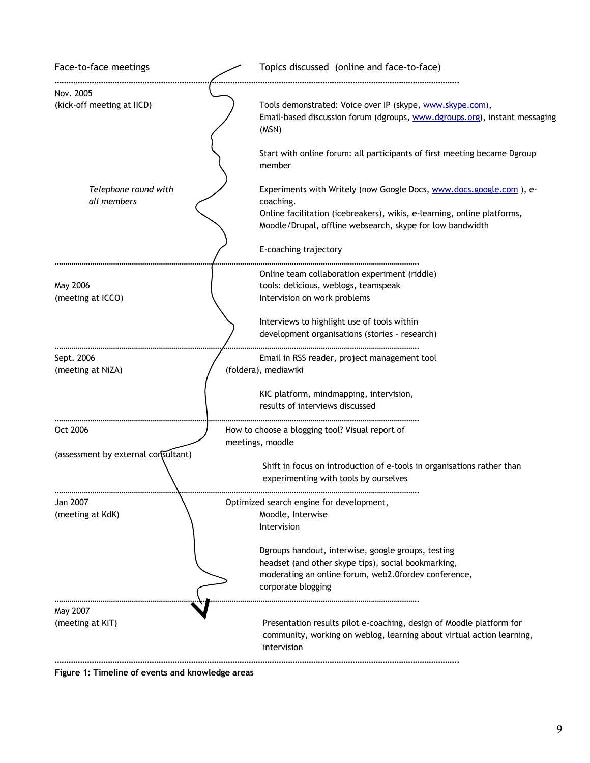

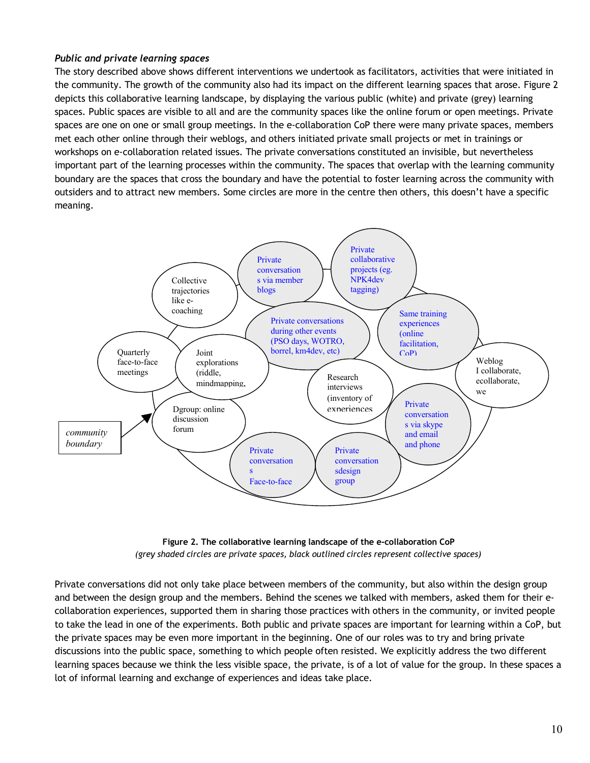# *Public and private learning spaces*

The story described above shows different interventions we undertook as facilitators, activities that were initiated in the community. The growth of the community also had its impact on the different learning spaces that arose. Figure 2 depicts this collaborative learning landscape, by displaying the various public (white) and private (grey) learning spaces. Public spaces are visible to all and are the community spaces like the online forum or open meetings. Private spaces are one on one or small group meetings. In the e-collaboration CoP there were many private spaces, members met each other online through their weblogs, and others initiated private small projects or met in trainings or workshops on e-collaboration related issues. The private conversations constituted an invisible, but nevertheless important part of the learning processes within the community. The spaces that overlap with the learning community boundary are the spaces that cross the boundary and have the potential to foster learning across the community with outsiders and to attract new members. Some circles are more in the centre then others, this doesn't have a specific meaning.





Private conversations did not only take place between members of the community, but also within the design group and between the design group and the members. Behind the scenes we talked with members, asked them for their ecollaboration experiences, supported them in sharing those practices with others in the community, or invited people to take the lead in one of the experiments. Both public and private spaces are important for learning within a CoP, but the private spaces may be even more important in the beginning. One of our roles was to try and bring private discussions into the public space, something to which people often resisted. We explicitly address the two different learning spaces because we think the less visible space, the private, is of a lot of value for the group. In these spaces a lot of informal learning and exchange of experiences and ideas take place.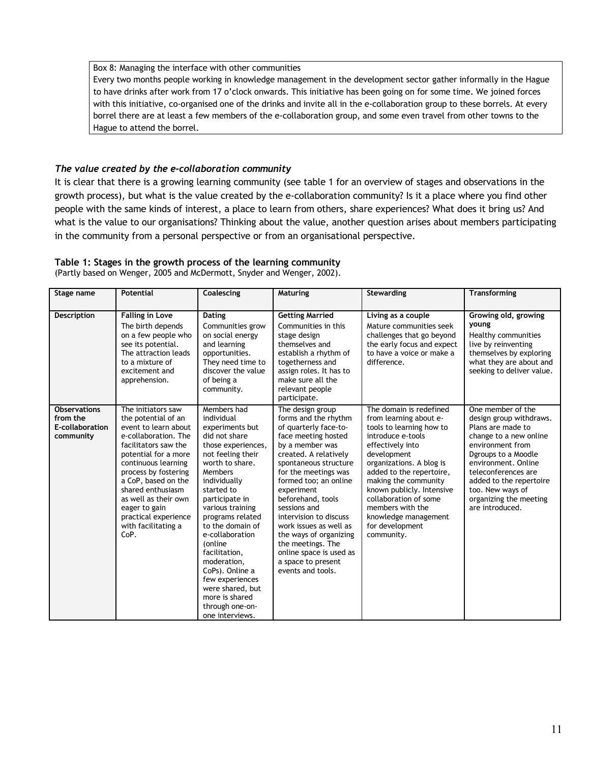#### Box 8: Managing the interface with other communities

Every two months people working in knowledge management in the development sector gather informally in the Hague to have drinks after work from 17 o'clock onwards. This initiative has been going on for some time. We joined forces with this initiative, co-organised one of the drinks and invite all in the e-collaboration group to these borrels. At every borrel there are at least a few members of the e-collaboration group, and some even travel from other towns to the Hague to attend the borrel.

## *The value created by the e-collaboration community*

It is clear that there is a growing learning community (see table 1 for an overview of stages and observations in the growth process), but what is the value created by the e-collaboration community? Is it a place where you find other people with the same kinds of interest, a place to learn from others, share experiences? What does it bring us? And what is the value to our organisations? Thinking about the value, another question arises about members participating in the community from a personal perspective or from an organisational perspective.

# **Table 1: Stages in the growth process of the learning community**

(Partly based on Wenger, 2005 and McDermott, Snyder and Wenger, 2002).

| Stage name                                                      | <b>Potential</b>                                                                                                                                                                                                                                                                                                                     | Coalescing                                                                                                                                                                                                                                                                                                                                                                                                                         | <b>Maturing</b>                                                                                                                                                                                                                                                                                                                                                                                                                            | Stewarding                                                                                                                                                                                                                                                                                                                                               | <b>Transforming</b>                                                                                                                                                                                                                                                              |
|-----------------------------------------------------------------|--------------------------------------------------------------------------------------------------------------------------------------------------------------------------------------------------------------------------------------------------------------------------------------------------------------------------------------|------------------------------------------------------------------------------------------------------------------------------------------------------------------------------------------------------------------------------------------------------------------------------------------------------------------------------------------------------------------------------------------------------------------------------------|--------------------------------------------------------------------------------------------------------------------------------------------------------------------------------------------------------------------------------------------------------------------------------------------------------------------------------------------------------------------------------------------------------------------------------------------|----------------------------------------------------------------------------------------------------------------------------------------------------------------------------------------------------------------------------------------------------------------------------------------------------------------------------------------------------------|----------------------------------------------------------------------------------------------------------------------------------------------------------------------------------------------------------------------------------------------------------------------------------|
| Description                                                     | <b>Falling in Love</b><br>The birth depends<br>on a few people who<br>see its potential.<br>The attraction leads<br>to a mixture of<br>excitement and<br>apprehension.                                                                                                                                                               | Dating<br>Communities grow<br>on social energy<br>and learning<br>opportunities.<br>They need time to<br>discover the value<br>of being a<br>community.                                                                                                                                                                                                                                                                            | <b>Getting Married</b><br>Communities in this<br>stage design<br>themselves and<br>establish a rhythm of<br>togetherness and<br>assign roles. It has to<br>make sure all the<br>relevant people<br>participate.                                                                                                                                                                                                                            | Living as a couple<br>Mature communities seek<br>challenges that go beyond<br>the early focus and expect<br>to have a voice or make a<br>difference.                                                                                                                                                                                                     | Growing old, growing<br>young<br>Healthy communities<br>live by reinventing<br>themselves by exploring<br>what they are about and<br>seeking to deliver value.                                                                                                                   |
| <b>Observations</b><br>from the<br>E-collaboration<br>community | The initiators saw<br>the potential of an<br>event to learn about<br>e-collaboration. The<br>facilitators saw the<br>potential for a more<br>continuous learning<br>process by fostering<br>a CoP, based on the<br>shared enthusiasm<br>as well as their own<br>eager to gain<br>practical experience<br>with facilitating a<br>CoP. | Members had<br>individual<br>experiments but<br>did not share<br>those experiences,<br>not feeling their<br>worth to share.<br>Members<br>individually<br>started to<br>participate in<br>various training<br>programs related<br>to the domain of<br>e-collaboration<br>(online<br>facilitation,<br>moderation,<br>CoPs). Online a<br>few experiences<br>were shared, but<br>more is shared<br>through one-on-<br>one interviews. | The design group<br>forms and the rhythm<br>of quarterly face-to-<br>face meeting hosted<br>by a member was<br>created. A relatively<br>spontaneous structure<br>for the meetings was<br>formed too; an online<br>experiment<br>beforehand, tools<br>sessions and<br>intervision to discuss<br>work issues as well as<br>the ways of organizing<br>the meetings. The<br>online space is used as<br>a space to present<br>events and tools. | The domain is redefined<br>from learning about e-<br>tools to learning how to<br>introduce e-tools<br>effectively into<br>development<br>organizations. A blog is<br>added to the repertoire,<br>making the community<br>known publicly. Intensive<br>collaboration of some<br>members with the<br>knowledge management<br>for development<br>community. | One member of the<br>design group withdraws.<br>Plans are made to<br>change to a new online<br>environment from<br>Dgroups to a Moodle<br>environment. Online<br>teleconferences are<br>added to the repertoire<br>too. New ways of<br>organizing the meeting<br>are introduced. |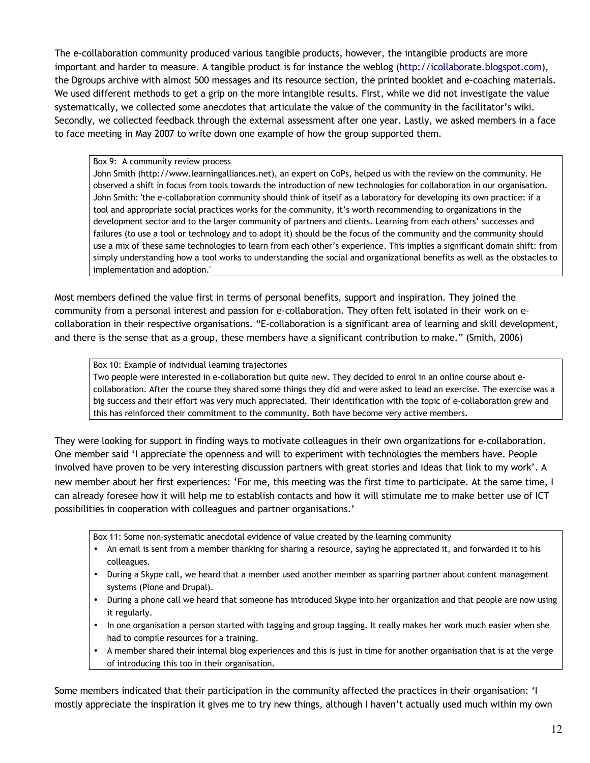The e-collaboration community produced various tangible products, however, the intangible products are more important and harder to measure. A tangible product is for instance the weblog [\(http://icollaborate.blogspot.com\)](http://icollaborate.blogspot.com/), the Dgroups archive with almost 500 messages and its resource section, the printed booklet and e-coaching materials. We used different methods to get a grip on the more intangible results. First, while we did not investigate the value systematically, we collected some anecdotes that articulate the value of the community in the facilitator's wiki. Secondly, we collected feedback through the external assessment after one year. Lastly, we asked members in a face to face meeting in May 2007 to write down one example of how the group supported them.

#### Box 9: A community review process

John Smith (http://www.learningalliances.net), an expert on CoPs, helped us with the review on the community. He observed a shift in focus from tools towards the introduction of new technologies for collaboration in our organisation. John Smith: 'the e-collaboration community should think of itself as a laboratory for developing its own practice: if a tool and appropriate social practices works for the community, it's worth recommending to organizations in the development sector and to the larger community of partners and clients. Learning from each others' successes and failures (to use a tool or technology and to adopt it) should be the focus of the community and the community should use a mix of these same technologies to learn from each other's experience. This implies a significant domain shift: from simply understanding how a tool works to understanding the social and organizational benefits as well as the obstacles to implementation and adoption.'

Most members defined the value first in terms of personal benefits, support and inspiration. They joined the community from a personal interest and passion for e-collaboration. They often felt isolated in their work on ecollaboration in their respective organisations. "E-collaboration is a significant area of learning and skill development, and there is the sense that as a group, these members have a significant contribution to make." (Smith, 2006)

### Box 10: Example of individual learning trajectories

Two people were interested in e-collaboration but quite new. They decided to enrol in an online course about ecollaboration. After the course they shared some things they did and were asked to lead an exercise. The exercise was a big success and their effort was very much appreciated. Their identification with the topic of e-collaboration grew and this has reinforced their commitment to the community. Both have become very active members.

They were looking for support in finding ways to motivate colleagues in their own organizations for e-collaboration. One member said 'I appreciate the openness and will to experiment with technologies the members have. People involved have proven to be very interesting discussion partners with great stories and ideas that link to my work'. A new member about her first experiences: 'For me, this meeting was the first time to participate. At the same time, I can already foresee how it will help me to establish contacts and how it will stimulate me to make better use of ICT possibilities in cooperation with colleagues and partner organisations.'

Box 11: Some non-systematic anecdotal evidence of value created by the learning community

- An email is sent from a member thanking for sharing a resource, saying he appreciated it, and forwarded it to his colleagues.
- During a Skype call, we heard that a member used another member as sparring partner about content management systems (Plone and Drupal).
- During a phone call we heard that someone has introduced Skype into her organization and that people are now using it regularly.
- In one organisation a person started with tagging and group tagging. It really makes her work much easier when she had to compile resources for a training.
- A member shared their internal blog experiences and this is just in time for another organisation that is at the verge of introducing this too in their organisation.

Some members indicated that their participation in the community affected the practices in their organisation: 'I mostly appreciate the inspiration it gives me to try new things, although I haven't actually used much within my own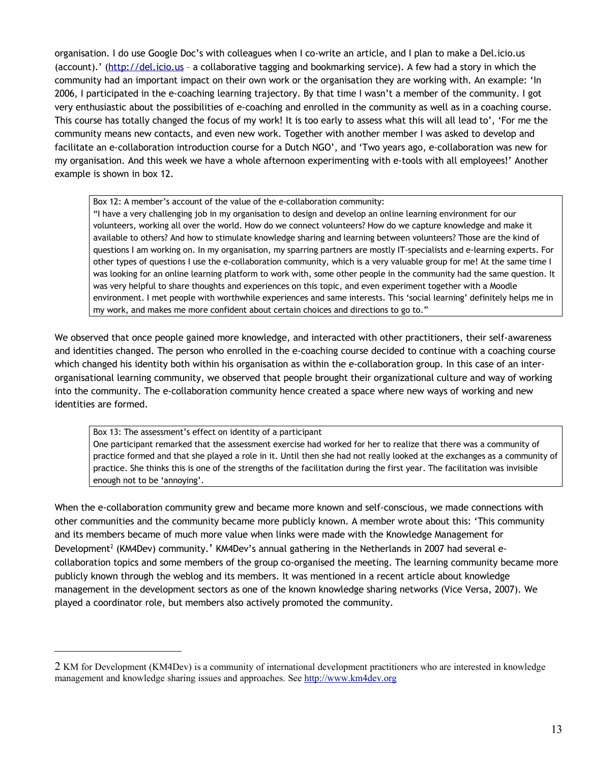organisation. I do use Google Doc's with colleagues when I co-write an article, and I plan to make a Del.icio.us (account).' [\(http://del.icio.us](http://del.icio.us/) - a collaborative tagging and bookmarking service). A few had a story in which the community had an important impact on their own work or the organisation they are working with. An example: 'In 2006, I participated in the e-coaching learning trajectory. By that time I wasn't a member of the community. I got very enthusiastic about the possibilities of e-coaching and enrolled in the community as well as in a coaching course. This course has totally changed the focus of my work! It is too early to assess what this will all lead to', 'For me the community means new contacts, and even new work. Together with another member I was asked to develop and facilitate an e-collaboration introduction course for a Dutch NGO', and 'Two years ago, e-collaboration was new for my organisation. And this week we have a whole afternoon experimenting with e-tools with all employees!' Another example is shown in box 12.

Box 12: A member's account of the value of the e-collaboration community:

"I have a very challenging job in my organisation to design and develop an online learning environment for our volunteers, working all over the world. How do we connect volunteers? How do we capture knowledge and make it available to others? And how to stimulate knowledge sharing and learning between volunteers? Those are the kind of questions I am working on. In my organisation, my sparring partners are mostly IT-specialists and e-learning experts. For other types of questions I use the e-collaboration community, which is a very valuable group for me! At the same time I was looking for an online learning platform to work with, some other people in the community had the same question. It was very helpful to share thoughts and experiences on this topic, and even experiment together with a Moodle environment. I met people with worthwhile experiences and same interests. This 'social learning' definitely helps me in my work, and makes me more confident about certain choices and directions to go to."

We observed that once people gained more knowledge, and interacted with other practitioners, their self-awareness and identities changed. The person who enrolled in the e-coaching course decided to continue with a coaching course which changed his identity both within his organisation as within the e-collaboration group. In this case of an interorganisational learning community, we observed that people brought their organizational culture and way of working into the community. The e-collaboration community hence created a space where new ways of working and new identities are formed.

Box 13: The assessment's effect on identity of a participant

One participant remarked that the assessment exercise had worked for her to realize that there was a community of practice formed and that she played a role in it. Until then she had not really looked at the exchanges as a community of practice. She thinks this is one of the strengths of the facilitation during the first year. The facilitation was invisible enough not to be 'annoying'.

When the e-collaboration community grew and became more known and self-conscious, we made connections with other communities and the community became more publicly known. A member wrote about this: 'This community and its members became of much more value when links were made with the Knowledge Management for Development<sup>[2](#page-12-0)</sup> (KM4Dev) community.' KM4Dev's annual gathering in the Netherlands in 2007 had several ecollaboration topics and some members of the group co-organised the meeting. The learning community became more publicly known through the weblog and its members. It was mentioned in a recent article about knowledge management in the development sectors as one of the known knowledge sharing networks (Vice Versa, 2007). We played a coordinator role, but members also actively promoted the community.

<span id="page-12-0"></span><sup>2</sup> KM for Development (KM4Dev) is a community of international development practitioners who are interested in knowledge management and knowledge sharing issues and approaches. See [http://www.km4dev.org](http://www.km4dev.org/)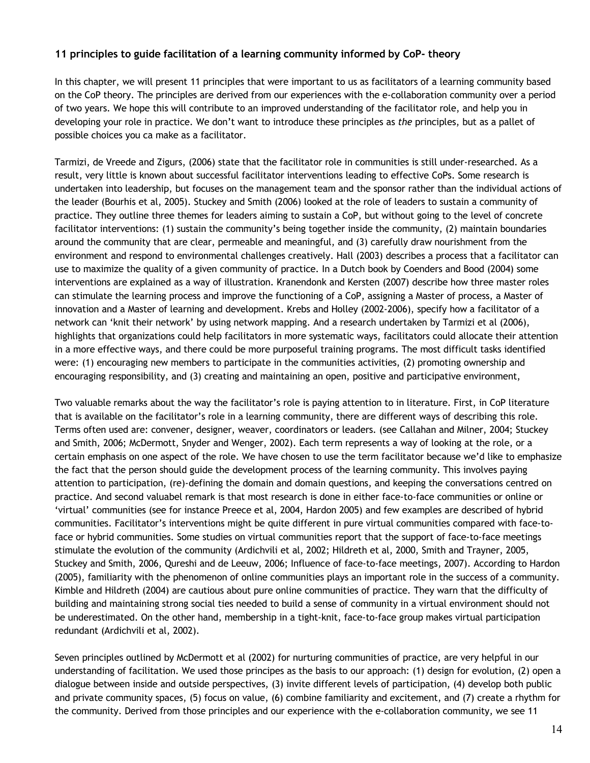# **11 principles to guide facilitation of a learning community informed by CoP- theory**

In this chapter, we will present 11 principles that were important to us as facilitators of a learning community based on the CoP theory. The principles are derived from our experiences with the e-collaboration community over a period of two years. We hope this will contribute to an improved understanding of the facilitator role, and help you in developing your role in practice. We don't want to introduce these principles as *the* principles, but as a pallet of possible choices you ca make as a facilitator.

Tarmizi, de Vreede and Zigurs, (2006) state that the facilitator role in communities is still under-researched. As a result, very little is known about successful facilitator interventions leading to effective CoPs. Some research is undertaken into leadership, but focuses on the management team and the sponsor rather than the individual actions of the leader (Bourhis et al, 2005). Stuckey and Smith (2006) looked at the role of leaders to sustain a community of practice. They outline three themes for leaders aiming to sustain a CoP, but without going to the level of concrete facilitator interventions: (1) sustain the community's being together inside the community, (2) maintain boundaries around the community that are clear, permeable and meaningful, and (3) carefully draw nourishment from the environment and respond to environmental challenges creatively. Hall (2003) describes a process that a facilitator can use to maximize the quality of a given community of practice. In a Dutch book by Coenders and Bood (2004) some interventions are explained as a way of illustration. Kranendonk and Kersten (2007) describe how three master roles can stimulate the learning process and improve the functioning of a CoP, assigning a Master of process, a Master of innovation and a Master of learning and development. Krebs and Holley (2002-2006), specify how a facilitator of a network can 'knit their network' by using network mapping. And a research undertaken by Tarmizi et al (2006), highlights that organizations could help facilitators in more systematic ways, facilitators could allocate their attention in a more effective ways, and there could be more purposeful training programs. The most difficult tasks identified were: (1) encouraging new members to participate in the communities activities, (2) promoting ownership and encouraging responsibility, and (3) creating and maintaining an open, positive and participative environment,

Two valuable remarks about the way the facilitator's role is paying attention to in literature. First, in CoP literature that is available on the facilitator's role in a learning community, there are different ways of describing this role. Terms often used are: convener, designer, weaver, coordinators or leaders. (see Callahan and Milner, 2004; Stuckey and Smith, 2006; McDermott, Snyder and Wenger, 2002). Each term represents a way of looking at the role, or a certain emphasis on one aspect of the role. We have chosen to use the term facilitator because we'd like to emphasize the fact that the person should guide the development process of the learning community. This involves paying attention to participation, (re)-defining the domain and domain questions, and keeping the conversations centred on practice. And second valuabel remark is that most research is done in either face-to-face communities or online or 'virtual' communities (see for instance Preece et al, 2004, Hardon 2005) and few examples are described of hybrid communities. Facilitator's interventions might be quite different in pure virtual communities compared with face-toface or hybrid communities. Some studies on virtual communities report that the support of face-to-face meetings stimulate the evolution of the community (Ardichvili et al, 2002; Hildreth et al, 2000, Smith and Trayner, 2005, Stuckey and Smith, 2006, Qureshi and de Leeuw, 2006; Influence of face-to-face meetings, 2007). According to Hardon (2005), familiarity with the phenomenon of online communities plays an important role in the success of a community. Kimble and Hildreth (2004) are cautious about pure online communities of practice. They warn that the difficulty of building and maintaining strong social ties needed to build a sense of community in a virtual environment should not be underestimated. On the other hand, membership in a tight-knit, face-to-face group makes virtual participation redundant (Ardichvili et al, 2002).

Seven principles outlined by McDermott et al (2002) for nurturing communities of practice, are very helpful in our understanding of facilitation. We used those principes as the basis to our approach: (1) design for evolution, (2) open a dialogue between inside and outside perspectives, (3) invite different levels of participation, (4) develop both public and private community spaces, (5) focus on value, (6) combine familiarity and excitement, and (7) create a rhythm for the community. Derived from those principles and our experience with the e-collaboration community, we see 11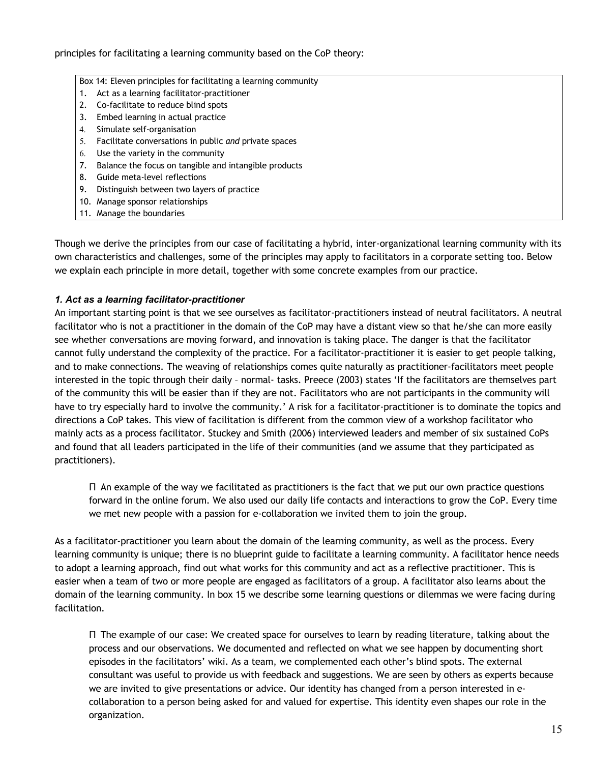principles for facilitating a learning community based on the CoP theory:

#### Box 14: Eleven principles for facilitating a learning community

- 1. Act as a learning facilitator-practitioner
- 2. Co-facilitate to reduce blind spots
- 3. Embed learning in actual practice
- 4. Simulate self-organisation
- 5. Facilitate conversations in public *and* private spaces
- 6. Use the variety in the community
- 7. Balance the focus on tangible and intangible products
- 8. Guide meta-level reflections
- 9. Distinguish between two layers of practice
- 10. Manage sponsor relationships
- 11. Manage the boundaries

Though we derive the principles from our case of facilitating a hybrid, inter-organizational learning community with its own characteristics and challenges, some of the principles may apply to facilitators in a corporate setting too. Below we explain each principle in more detail, together with some concrete examples from our practice.

## *1. Act as a learning facilitator-practitioner*

An important starting point is that we see ourselves as facilitator-practitioners instead of neutral facilitators. A neutral facilitator who is not a practitioner in the domain of the CoP may have a distant view so that he/she can more easily see whether conversations are moving forward, and innovation is taking place. The danger is that the facilitator cannot fully understand the complexity of the practice. For a facilitator-practitioner it is easier to get people talking, and to make connections. The weaving of relationships comes quite naturally as practitioner-facilitators meet people interested in the topic through their daily – normal- tasks. Preece (2003) states 'If the facilitators are themselves part of the community this will be easier than if they are not. Facilitators who are not participants in the community will have to try especially hard to involve the community.' A risk for a facilitator-practitioner is to dominate the topics and directions a CoP takes. This view of facilitation is different from the common view of a workshop facilitator who mainly acts as a process facilitator. Stuckey and Smith (2006) interviewed leaders and member of six sustained CoPs and found that all leaders participated in the life of their communities (and we assume that they participated as practitioners).

Π An example of the way we facilitated as practitioners is the fact that we put our own practice questions forward in the online forum. We also used our daily life contacts and interactions to grow the CoP. Every time we met new people with a passion for e-collaboration we invited them to join the group.

As a facilitator-practitioner you learn about the domain of the learning community, as well as the process. Every learning community is unique; there is no blueprint guide to facilitate a learning community. A facilitator hence needs to adopt a learning approach, find out what works for this community and act as a reflective practitioner. This is easier when a team of two or more people are engaged as facilitators of a group. A facilitator also learns about the domain of the learning community. In box 15 we describe some learning questions or dilemmas we were facing during facilitation.

Π The example of our case: We created space for ourselves to learn by reading literature, talking about the process and our observations. We documented and reflected on what we see happen by documenting short episodes in the facilitators' wiki. As a team, we complemented each other's blind spots. The external consultant was useful to provide us with feedback and suggestions. We are seen by others as experts because we are invited to give presentations or advice. Our identity has changed from a person interested in ecollaboration to a person being asked for and valued for expertise. This identity even shapes our role in the organization.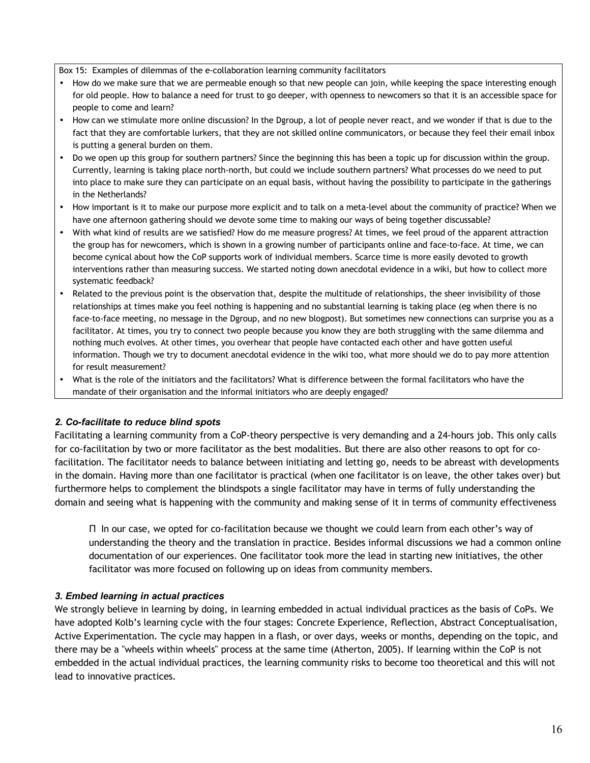Box 15: Examples of dilemmas of the e-collaboration learning community facilitators

- How do we make sure that we are permeable enough so that new people can join, while keeping the space interesting enough for old people. How to balance a need for trust to go deeper, with openness to newcomers so that it is an accessible space for people to come and learn?
- How can we stimulate more online discussion? In the Dgroup, a lot of people never react, and we wonder if that is due to the fact that they are comfortable lurkers, that they are not skilled online communicators, or because they feel their email inbox is putting a general burden on them.
- Do we open up this group for southern partners? Since the beginning this has been a topic up for discussion within the group. Currently, learning is taking place north-north, but could we include southern partners? What processes do we need to put into place to make sure they can participate on an equal basis, without having the possibility to participate in the gatherings in the Netherlands?
- How important is it to make our purpose more explicit and to talk on a meta-level about the community of practice? When we have one afternoon gathering should we devote some time to making our ways of being together discussable?
- With what kind of results are we satisfied? How do me measure progress? At times, we feel proud of the apparent attraction the group has for newcomers, which is shown in a growing number of participants online and face-to-face. At time, we can become cynical about how the CoP supports work of individual members. Scarce time is more easily devoted to growth interventions rather than measuring success. We started noting down anecdotal evidence in a wiki, but how to collect more systematic feedback?
- Related to the previous point is the observation that, despite the multitude of relationships, the sheer invisibility of those relationships at times make you feel nothing is happening and no substantial learning is taking place (eg when there is no face-to-face meeting, no message in the Dgroup, and no new blogpost). But sometimes new connections can surprise you as a facilitator. At times, you try to connect two people because you know they are both struggling with the same dilemma and nothing much evolves. At other times, you overhear that people have contacted each other and have gotten useful information. Though we try to document anecdotal evidence in the wiki too, what more should we do to pay more attention for result measurement?
- What is the role of the initiators and the facilitators? What is difference between the formal facilitators who have the mandate of their organisation and the informal initiators who are deeply engaged?

## *2. Co-facilitate to reduce blind spots*

Facilitating a learning community from a CoP-theory perspective is very demanding and a 24-hours job. This only calls for co-facilitation by two or more facilitator as the best modalities. But there are also other reasons to opt for cofacilitation. The facilitator needs to balance between initiating and letting go, needs to be abreast with developments in the domain. Having more than one facilitator is practical (when one facilitator is on leave, the other takes over) but furthermore helps to complement the blindspots a single facilitator may have in terms of fully understanding the domain and seeing what is happening with the community and making sense of it in terms of community effectiveness

Π In our case, we opted for co-facilitation because we thought we could learn from each other's way of understanding the theory and the translation in practice. Besides informal discussions we had a common online documentation of our experiences. One facilitator took more the lead in starting new initiatives, the other facilitator was more focused on following up on ideas from community members.

## *3. Embed learning in actual practices*

We strongly believe in learning by doing, in learning embedded in actual individual practices as the basis of CoPs. We have adopted Kolb's learning cycle with the four stages: Concrete Experience, Reflection, Abstract Conceptualisation, Active Experimentation. The cycle may happen in a flash, or over days, weeks or months, depending on the topic, and there may be a "wheels within wheels" process at the same time (Atherton, 2005). If learning within the CoP is not embedded in the actual individual practices, the learning community risks to become too theoretical and this will not lead to innovative practices.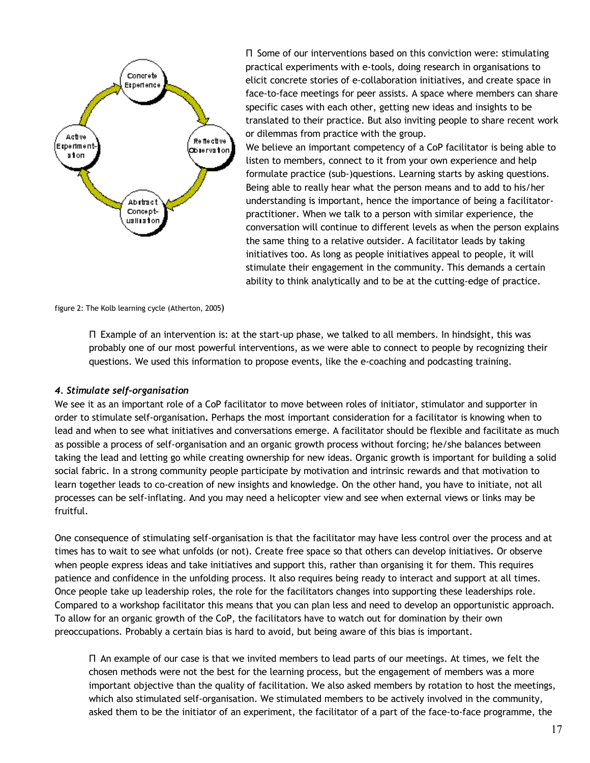

Π Some of our interventions based on this conviction were: stimulating practical experiments with e-tools, doing research in organisations to elicit concrete stories of e-collaboration initiatives, and create space in face-to-face meetings for peer assists. A space where members can share specific cases with each other, getting new ideas and insights to be translated to their practice. But also inviting people to share recent work or dilemmas from practice with the group.

We believe an important competency of a CoP facilitator is being able to listen to members, connect to it from your own experience and help formulate practice (sub-)questions. Learning starts by asking questions. Being able to really hear what the person means and to add to his/her understanding is important, hence the importance of being a facilitatorpractitioner. When we talk to a person with similar experience, the conversation will continue to different levels as when the person explains the same thing to a relative outsider. A facilitator leads by taking initiatives too. As long as people initiatives appeal to people, it will stimulate their engagement in the community. This demands a certain ability to think analytically and to be at the cutting-edge of practice.

figure 2: The Kolb learning cycle (Atherton, 2005)

Π Example of an intervention is: at the start-up phase, we talked to all members. In hindsight, this was probably one of our most powerful interventions, as we were able to connect to people by recognizing their questions. We used this information to propose events, like the e-coaching and podcasting training.

#### *4. Stimulate self-organisation*

We see it as an important role of a CoP facilitator to move between roles of initiator, stimulator and supporter in order to stimulate self-organisation**.** Perhaps the most important consideration for a facilitator is knowing when to lead and when to see what initiatives and conversations emerge. A facilitator should be flexible and facilitate as much as possible a process of self-organisation and an organic growth process without forcing; he/she balances between taking the lead and letting go while creating ownership for new ideas. Organic growth is important for building a solid social fabric. In a strong community people participate by motivation and intrinsic rewards and that motivation to learn together leads to co-creation of new insights and knowledge. On the other hand, you have to initiate, not all processes can be self-inflating. And you may need a helicopter view and see when external views or links may be fruitful.

One consequence of stimulating self-organisation is that the facilitator may have less control over the process and at times has to wait to see what unfolds (or not). Create free space so that others can develop initiatives. Or observe when people express ideas and take initiatives and support this, rather than organising it for them. This requires patience and confidence in the unfolding process. It also requires being ready to interact and support at all times. Once people take up leadership roles, the role for the facilitators changes into supporting these leaderships role. Compared to a workshop facilitator this means that you can plan less and need to develop an opportunistic approach. To allow for an organic growth of the CoP, the facilitators have to watch out for domination by their own preoccupations. Probably a certain bias is hard to avoid, but being aware of this bias is important.

Π An example of our case is that we invited members to lead parts of our meetings. At times, we felt the chosen methods were not the best for the learning process, but the engagement of members was a more important objective than the quality of facilitation. We also asked members by rotation to host the meetings, which also stimulated self-organisation. We stimulated members to be actively involved in the community, asked them to be the initiator of an experiment, the facilitator of a part of the face-to-face programme, the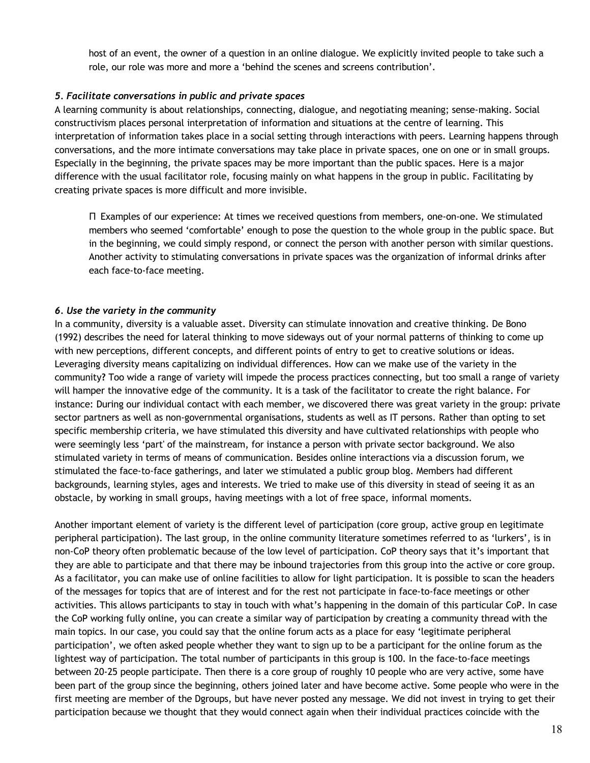host of an event, the owner of a question in an online dialogue. We explicitly invited people to take such a role, our role was more and more a 'behind the scenes and screens contribution'.

## *5. Facilitate conversations in public and private spaces*

A learning community is about relationships, connecting, dialogue, and negotiating meaning; sense-making. Social constructivism places personal interpretation of information and situations at the centre of learning. This interpretation of information takes place in a social setting through interactions with peers. Learning happens through conversations, and the more intimate conversations may take place in private spaces, one on one or in small groups. Especially in the beginning, the private spaces may be more important than the public spaces. Here is a major difference with the usual facilitator role, focusing mainly on what happens in the group in public. Facilitating by creating private spaces is more difficult and more invisible.

Π Examples of our experience: At times we received questions from members, one-on-one. We stimulated members who seemed 'comfortable' enough to pose the question to the whole group in the public space. But in the beginning, we could simply respond, or connect the person with another person with similar questions. Another activity to stimulating conversations in private spaces was the organization of informal drinks after each face-to-face meeting.

## *6. Use the variety in the community*

In a community, diversity is a valuable asset. Diversity can stimulate innovation and creative thinking. De Bono (1992) describes the need for lateral thinking to move sideways out of your normal patterns of thinking to come up with new perceptions, different concepts, and different points of entry to get to creative solutions or ideas. Leveraging diversity means capitalizing on individual differences. How can we make use of the variety in the community**?** Too wide a range of variety will impede the process practices connecting, but too small a range of variety will hamper the innovative edge of the community. It is a task of the facilitator to create the right balance. For instance: During our individual contact with each member, we discovered there was great variety in the group: private sector partners as well as non-governmental organisations, students as well as IT persons. Rather than opting to set specific membership criteria, we have stimulated this diversity and have cultivated relationships with people who were seemingly less 'part' of the mainstream, for instance a person with private sector background. We also stimulated variety in terms of means of communication. Besides online interactions via a discussion forum, we stimulated the face-to-face gatherings, and later we stimulated a public group blog. Members had different backgrounds, learning styles, ages and interests. We tried to make use of this diversity in stead of seeing it as an obstacle, by working in small groups, having meetings with a lot of free space, informal moments.

Another important element of variety is the different level of participation (core group, active group en legitimate peripheral participation). The last group, in the online community literature sometimes referred to as 'lurkers', is in non-CoP theory often problematic because of the low level of participation. CoP theory says that it's important that they are able to participate and that there may be inbound trajectories from this group into the active or core group. As a facilitator, you can make use of online facilities to allow for light participation. It is possible to scan the headers of the messages for topics that are of interest and for the rest not participate in face-to-face meetings or other activities. This allows participants to stay in touch with what's happening in the domain of this particular CoP. In case the CoP working fully online, you can create a similar way of participation by creating a community thread with the main topics. In our case, you could say that the online forum acts as a place for easy 'legitimate peripheral participation', we often asked people whether they want to sign up to be a participant for the online forum as the lightest way of participation. The total number of participants in this group is 100. In the face-to-face meetings between 20-25 people participate. Then there is a core group of roughly 10 people who are very active, some have been part of the group since the beginning, others joined later and have become active. Some people who were in the first meeting are member of the Dgroups, but have never posted any message. We did not invest in trying to get their participation because we thought that they would connect again when their individual practices coincide with the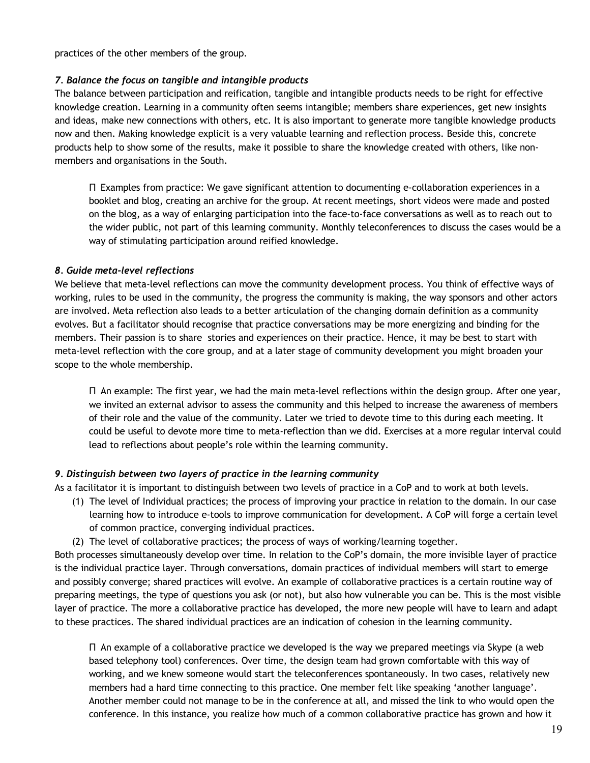practices of the other members of the group.

## *7. Balance the focus on tangible and intangible products*

The balance between participation and reification, tangible and intangible products needs to be right for effective knowledge creation. Learning in a community often seems intangible; members share experiences, get new insights and ideas, make new connections with others, etc. It is also important to generate more tangible knowledge products now and then. Making knowledge explicit is a very valuable learning and reflection process. Beside this, concrete products help to show some of the results, make it possible to share the knowledge created with others, like nonmembers and organisations in the South.

Π Examples from practice: We gave significant attention to documenting e-collaboration experiences in a booklet and blog, creating an archive for the group. At recent meetings, short videos were made and posted on the blog, as a way of enlarging participation into the face-to-face conversations as well as to reach out to the wider public, not part of this learning community. Monthly teleconferences to discuss the cases would be a way of stimulating participation around reified knowledge.

## *8. Guide meta-level reflections*

We believe that meta-level reflections can move the community development process. You think of effective ways of working, rules to be used in the community, the progress the community is making, the way sponsors and other actors are involved. Meta reflection also leads to a better articulation of the changing domain definition as a community evolves. But a facilitator should recognise that practice conversations may be more energizing and binding for the members. Their passion is to share stories and experiences on their practice. Hence, it may be best to start with meta-level reflection with the core group, and at a later stage of community development you might broaden your scope to the whole membership.

Π An example: The first year, we had the main meta-level reflections within the design group. After one year, we invited an external advisor to assess the community and this helped to increase the awareness of members of their role and the value of the community. Later we tried to devote time to this during each meeting. It could be useful to devote more time to meta-reflection than we did. Exercises at a more regular interval could lead to reflections about people's role within the learning community.

## *9. Distinguish between two layers of practice in the learning community*

As a facilitator it is important to distinguish between two levels of practice in a CoP and to work at both levels.

- (1) The level of Individual practices; the process of improving your practice in relation to the domain. In our case learning how to introduce e-tools to improve communication for development. A CoP will forge a certain level of common practice, converging individual practices.
- (2) The level of collaborative practices; the process of ways of working/learning together.

Both processes simultaneously develop over time. In relation to the CoP's domain, the more invisible layer of practice is the individual practice layer. Through conversations, domain practices of individual members will start to emerge and possibly converge; shared practices will evolve. An example of collaborative practices is a certain routine way of preparing meetings, the type of questions you ask (or not), but also how vulnerable you can be. This is the most visible layer of practice. The more a collaborative practice has developed, the more new people will have to learn and adapt to these practices. The shared individual practices are an indication of cohesion in the learning community.

Π An example of a collaborative practice we developed is the way we prepared meetings via Skype (a web based telephony tool) conferences. Over time, the design team had grown comfortable with this way of working, and we knew someone would start the teleconferences spontaneously. In two cases, relatively new members had a hard time connecting to this practice. One member felt like speaking 'another language'. Another member could not manage to be in the conference at all, and missed the link to who would open the conference. In this instance, you realize how much of a common collaborative practice has grown and how it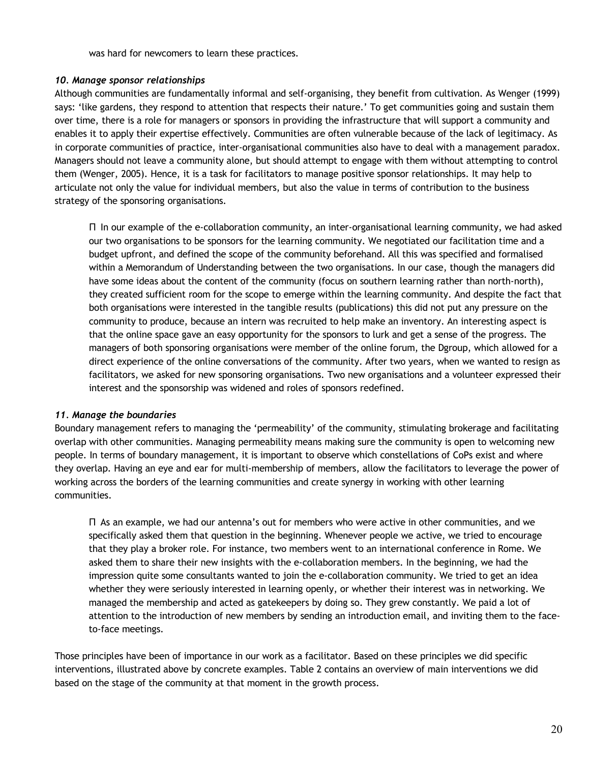was hard for newcomers to learn these practices.

## *10. Manage sponsor relationships*

Although communities are fundamentally informal and self-organising, they benefit from cultivation. As Wenger (1999) says: 'like gardens, they respond to attention that respects their nature.' To get communities going and sustain them over time, there is a role for managers or sponsors in providing the infrastructure that will support a community and enables it to apply their expertise effectively. Communities are often vulnerable because of the lack of legitimacy. As in corporate communities of practice, inter-organisational communities also have to deal with a management paradox. Managers should not leave a community alone, but should attempt to engage with them without attempting to control them (Wenger, 2005). Hence, it is a task for facilitators to manage positive sponsor relationships. It may help to articulate not only the value for individual members, but also the value in terms of contribution to the business strategy of the sponsoring organisations.

Π In our example of the e-collaboration community, an inter-organisational learning community, we had asked our two organisations to be sponsors for the learning community. We negotiated our facilitation time and a budget upfront, and defined the scope of the community beforehand. All this was specified and formalised within a Memorandum of Understanding between the two organisations. In our case, though the managers did have some ideas about the content of the community (focus on southern learning rather than north-north), they created sufficient room for the scope to emerge within the learning community. And despite the fact that both organisations were interested in the tangible results (publications) this did not put any pressure on the community to produce, because an intern was recruited to help make an inventory. An interesting aspect is that the online space gave an easy opportunity for the sponsors to lurk and get a sense of the progress. The managers of both sponsoring organisations were member of the online forum, the Dgroup, which allowed for a direct experience of the online conversations of the community. After two years, when we wanted to resign as facilitators, we asked for new sponsoring organisations. Two new organisations and a volunteer expressed their interest and the sponsorship was widened and roles of sponsors redefined.

## *11. Manage the boundaries*

Boundary management refers to managing the 'permeability' of the community, stimulating brokerage and facilitating overlap with other communities. Managing permeability means making sure the community is open to welcoming new people. In terms of boundary management, it is important to observe which constellations of CoPs exist and where they overlap. Having an eye and ear for multi-membership of members, allow the facilitators to leverage the power of working across the borders of the learning communities and create synergy in working with other learning communities.

Π As an example, we had our antenna's out for members who were active in other communities, and we specifically asked them that question in the beginning. Whenever people we active, we tried to encourage that they play a broker role. For instance, two members went to an international conference in Rome. We asked them to share their new insights with the e-collaboration members. In the beginning, we had the impression quite some consultants wanted to join the e-collaboration community. We tried to get an idea whether they were seriously interested in learning openly, or whether their interest was in networking. We managed the membership and acted as gatekeepers by doing so. They grew constantly. We paid a lot of attention to the introduction of new members by sending an introduction email, and inviting them to the faceto-face meetings.

Those principles have been of importance in our work as a facilitator. Based on these principles we did specific interventions, illustrated above by concrete examples. Table 2 contains an overview of main interventions we did based on the stage of the community at that moment in the growth process.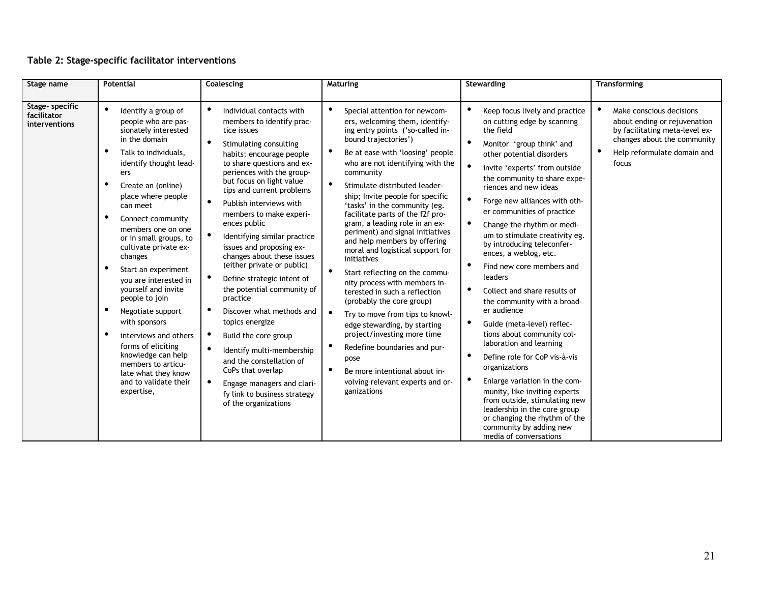# **Table 2: Stage-specific facilitator interventions**

| Stage name                                      | <b>Potential</b>                                                                                                                                                                                                                                                                                                                                                                                                                                                                                                                                                                                                   | Coalescing                                                                                                                                                                                                                                                                                                                                                                                                                                                                                                                                                                                                                                                                                                                                                                                                                                                  | Maturing                                                                                                                                                                                                                                                                                                                                                                                                                                                                                                                                                                                                                                                                                                                                                                                                                                                                                                                  | Stewarding                                                                                                                                                                                                                                                                                                                                                                                                                                                                                                                                                                                                                                                                                                                                                                                                                                                                                                                                          | <b>Transforming</b>                                                                                                                                               |
|-------------------------------------------------|--------------------------------------------------------------------------------------------------------------------------------------------------------------------------------------------------------------------------------------------------------------------------------------------------------------------------------------------------------------------------------------------------------------------------------------------------------------------------------------------------------------------------------------------------------------------------------------------------------------------|-------------------------------------------------------------------------------------------------------------------------------------------------------------------------------------------------------------------------------------------------------------------------------------------------------------------------------------------------------------------------------------------------------------------------------------------------------------------------------------------------------------------------------------------------------------------------------------------------------------------------------------------------------------------------------------------------------------------------------------------------------------------------------------------------------------------------------------------------------------|---------------------------------------------------------------------------------------------------------------------------------------------------------------------------------------------------------------------------------------------------------------------------------------------------------------------------------------------------------------------------------------------------------------------------------------------------------------------------------------------------------------------------------------------------------------------------------------------------------------------------------------------------------------------------------------------------------------------------------------------------------------------------------------------------------------------------------------------------------------------------------------------------------------------------|-----------------------------------------------------------------------------------------------------------------------------------------------------------------------------------------------------------------------------------------------------------------------------------------------------------------------------------------------------------------------------------------------------------------------------------------------------------------------------------------------------------------------------------------------------------------------------------------------------------------------------------------------------------------------------------------------------------------------------------------------------------------------------------------------------------------------------------------------------------------------------------------------------------------------------------------------------|-------------------------------------------------------------------------------------------------------------------------------------------------------------------|
| Stage- specific<br>facilitator<br>interventions | $\bullet$<br>Identify a group of<br>people who are pas-<br>sionately interested<br>in the domain<br>Talk to individuals,<br>identify thought lead-<br>ers<br>Create an (online)<br>place where people<br>can meet<br>Connect community<br>members one on one<br>or in small groups, to<br>cultivate private ex-<br>changes<br>Start an experiment<br>you are interested in<br>yourself and invite<br>people to join<br>Negotiate support<br>with sponsors<br>interviews and others<br>forms of eliciting<br>knowledge can help<br>members to articu-<br>late what they know<br>and to validate their<br>expertise, | Individual contacts with<br>$\bullet$<br>members to identify prac-<br>tice issues<br>$\bullet$<br>Stimulating consulting<br>habits; encourage people<br>to share questions and ex-<br>periences with the group-<br>but focus on light value<br>tips and current problems<br>$\bullet$<br>Publish interviews with<br>members to make experi-<br>ences public<br>$\bullet$<br>Identifying similar practice<br>issues and proposing ex-<br>changes about these issues<br>(either private or public)<br>$\bullet$<br>Define strategic intent of<br>the potential community of<br>practice<br>Discover what methods and<br>topics energize<br>$\bullet$<br>Build the core group<br>Identify multi-membership<br>and the constellation of<br>CoPs that overlap<br>$\bullet$<br>Engage managers and clari-<br>fy link to business strategy<br>of the organizations | $\bullet$<br>Special attention for newcom-<br>ers, welcoming them, identify-<br>ing entry points ('so-called in-<br>bound trajectories')<br>Be at ease with 'loosing' people<br>who are not identifying with the<br>community<br>$\bullet$<br>Stimulate distributed leader-<br>ship; Invite people for specific<br>'tasks' in the community (eg.<br>facilitate parts of the f2f pro-<br>gram, a leading role in an ex-<br>periment) and signal initiatives<br>and help members by offering<br>moral and logistical support for<br>initiatives<br>Start reflecting on the commu-<br>nity process with members in-<br>terested in such a reflection<br>(probably the core group)<br>$\bullet$<br>Try to move from tips to knowl-<br>edge stewarding, by starting<br>project/investing more time<br>Redefine boundaries and pur-<br>pose<br>Be more intentional about in-<br>volving relevant experts and or-<br>ganizations | Keep focus lively and practice<br>on cutting edge by scanning<br>the field<br>Monitor 'group think' and<br>other potential disorders<br>invite 'experts' from outside<br>the community to share expe-<br>riences and new ideas<br>Forge new alliances with oth-<br>er communities of practice<br>Change the rhythm or medi-<br>um to stimulate creativity eg.<br>by introducing teleconfer-<br>ences, a weblog, etc.<br>$\bullet$<br>Find new core members and<br>leaders<br>Collect and share results of<br>$\bullet$<br>the community with a broad-<br>er audience<br>Guide (meta-level) reflec-<br>$\bullet$<br>tions about community col-<br>laboration and learning<br>Define role for CoP vis-à-vis<br>organizations<br>Enlarge variation in the com-<br>munity, like inviting experts<br>from outside, stimulating new<br>leadership in the core group<br>or changing the rhythm of the<br>community by adding new<br>media of conversations | Make conscious decisions<br>about ending or rejuvenation<br>by facilitating meta-level ex-<br>changes about the community<br>Help reformulate domain and<br>focus |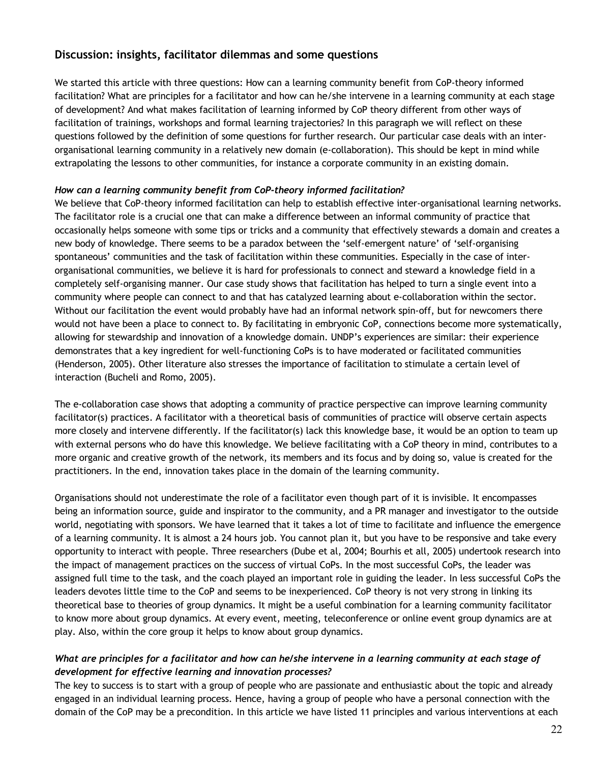# **Discussion: insights, facilitator dilemmas and some questions**

We started this article with three questions: How can a learning community benefit from CoP-theory informed facilitation? What are principles for a facilitator and how can he/she intervene in a learning community at each stage of development? And what makes facilitation of learning informed by CoP theory different from other ways of facilitation of trainings, workshops and formal learning trajectories? In this paragraph we will reflect on these questions followed by the definition of some questions for further research. Our particular case deals with an interorganisational learning community in a relatively new domain (e-collaboration). This should be kept in mind while extrapolating the lessons to other communities, for instance a corporate community in an existing domain.

## *How can a learning community benefit from CoP-theory informed facilitation?*

We believe that CoP-theory informed facilitation can help to establish effective inter-organisational learning networks. The facilitator role is a crucial one that can make a difference between an informal community of practice that occasionally helps someone with some tips or tricks and a community that effectively stewards a domain and creates a new body of knowledge. There seems to be a paradox between the 'self-emergent nature' of 'self-organising spontaneous' communities and the task of facilitation within these communities. Especially in the case of interorganisational communities, we believe it is hard for professionals to connect and steward a knowledge field in a completely self-organising manner. Our case study shows that facilitation has helped to turn a single event into a community where people can connect to and that has catalyzed learning about e-collaboration within the sector. Without our facilitation the event would probably have had an informal network spin-off, but for newcomers there would not have been a place to connect to. By facilitating in embryonic CoP, connections become more systematically, allowing for stewardship and innovation of a knowledge domain. UNDP's experiences are similar: their experience demonstrates that a key ingredient for well-functioning CoPs is to have moderated or facilitated communities (Henderson, 2005). Other literature also stresses the importance of facilitation to stimulate a certain level of interaction (Bucheli and Romo, 2005).

The e-collaboration case shows that adopting a community of practice perspective can improve learning community facilitator(s) practices. A facilitator with a theoretical basis of communities of practice will observe certain aspects more closely and intervene differently. If the facilitator(s) lack this knowledge base, it would be an option to team up with external persons who do have this knowledge. We believe facilitating with a CoP theory in mind, contributes to a more organic and creative growth of the network, its members and its focus and by doing so, value is created for the practitioners. In the end, innovation takes place in the domain of the learning community.

Organisations should not underestimate the role of a facilitator even though part of it is invisible. It encompasses being an information source, guide and inspirator to the community, and a PR manager and investigator to the outside world, negotiating with sponsors. We have learned that it takes a lot of time to facilitate and influence the emergence of a learning community. It is almost a 24 hours job. You cannot plan it, but you have to be responsive and take every opportunity to interact with people. Three researchers (Dube et al, 2004; Bourhis et all, 2005) undertook research into the impact of management practices on the success of virtual CoPs. In the most successful CoPs, the leader was assigned full time to the task, and the coach played an important role in guiding the leader. In less successful CoPs the leaders devotes little time to the CoP and seems to be inexperienced. CoP theory is not very strong in linking its theoretical base to theories of group dynamics. It might be a useful combination for a learning community facilitator to know more about group dynamics. At every event, meeting, teleconference or online event group dynamics are at play. Also, within the core group it helps to know about group dynamics.

# *What are principles for a facilitator and how can he/she intervene in a learning community at each stage of development for effective learning and innovation processes?*

The key to success is to start with a group of people who are passionate and enthusiastic about the topic and already engaged in an individual learning process. Hence, having a group of people who have a personal connection with the domain of the CoP may be a precondition. In this article we have listed 11 principles and various interventions at each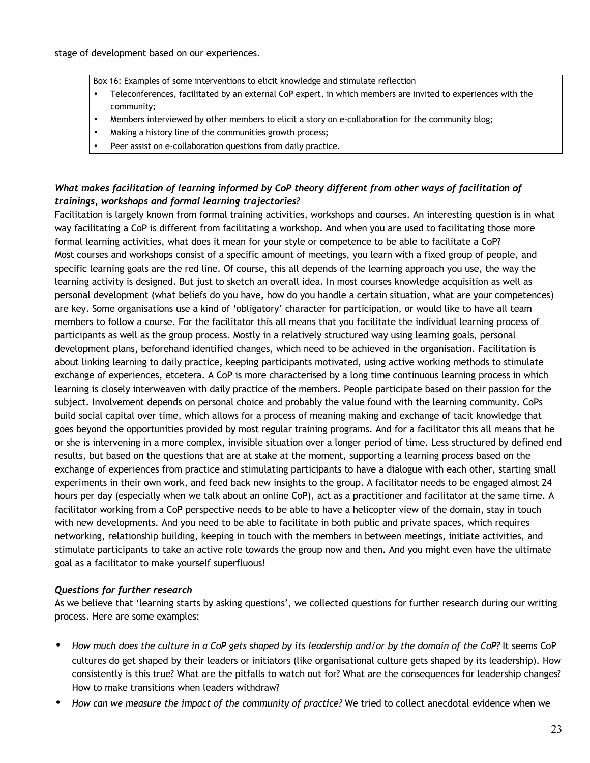Box 16: Examples of some interventions to elicit knowledge and stimulate reflection

- Teleconferences, facilitated by an external CoP expert, in which members are invited to experiences with the community;
- Members interviewed by other members to elicit a story on e-collaboration for the community blog;
- Making a history line of the communities growth process;
- Peer assist on e-collaboration questions from daily practice.

# *What makes facilitation of learning informed by CoP theory different from other ways of facilitation of trainings, workshops and formal learning trajectories?*

Facilitation is largely known from formal training activities, workshops and courses. An interesting question is in what way facilitating a CoP is different from facilitating a workshop. And when you are used to facilitating those more formal learning activities, what does it mean for your style or competence to be able to facilitate a CoP? Most courses and workshops consist of a specific amount of meetings, you learn with a fixed group of people, and specific learning goals are the red line. Of course, this all depends of the learning approach you use, the way the learning activity is designed. But just to sketch an overall idea. In most courses knowledge acquisition as well as personal development (what beliefs do you have, how do you handle a certain situation, what are your competences) are key. Some organisations use a kind of 'obligatory' character for participation, or would like to have all team members to follow a course. For the facilitator this all means that you facilitate the individual learning process of participants as well as the group process. Mostly in a relatively structured way using learning goals, personal development plans, beforehand identified changes, which need to be achieved in the organisation. Facilitation is about linking learning to daily practice, keeping participants motivated, using active working methods to stimulate exchange of experiences, etcetera. A CoP is more characterised by a long time continuous learning process in which learning is closely interweaven with daily practice of the members. People participate based on their passion for the subject. Involvement depends on personal choice and probably the value found with the learning community. CoPs build social capital over time, which allows for a process of meaning making and exchange of tacit knowledge that goes beyond the opportunities provided by most regular training programs. And for a facilitator this all means that he or she is intervening in a more complex, invisible situation over a longer period of time. Less structured by defined end results, but based on the questions that are at stake at the moment, supporting a learning process based on the exchange of experiences from practice and stimulating participants to have a dialogue with each other, starting small experiments in their own work, and feed back new insights to the group. A facilitator needs to be engaged almost 24 hours per day (especially when we talk about an online CoP), act as a practitioner and facilitator at the same time. A facilitator working from a CoP perspective needs to be able to have a helicopter view of the domain, stay in touch with new developments. And you need to be able to facilitate in both public and private spaces, which requires networking, relationship building, keeping in touch with the members in between meetings, initiate activities, and stimulate participants to take an active role towards the group now and then. And you might even have the ultimate goal as a facilitator to make yourself superfluous!

## *Questions for further research*

As we believe that 'learning starts by asking questions', we collected questions for further research during our writing process. Here are some examples:

- *How much does the culture in a CoP gets shaped by its leadership and/or by the domain of the CoP?* It seems CoP cultures do get shaped by their leaders or initiators (like organisational culture gets shaped by its leadership). How consistently is this true? What are the pitfalls to watch out for? What are the consequences for leadership changes? How to make transitions when leaders withdraw?
- *How can we measure the impact of the community of practice?* We tried to collect anecdotal evidence when we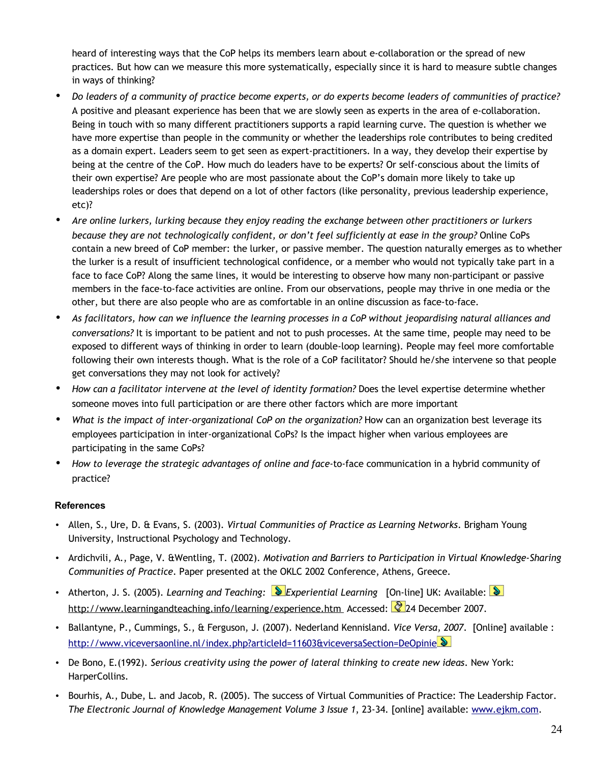heard of interesting ways that the CoP helps its members learn about e-collaboration or the spread of new practices. But how can we measure this more systematically, especially since it is hard to measure subtle changes in ways of thinking?

- *Do leaders of a community of practice become experts, or do experts become leaders of communities of practice?* A positive and pleasant experience has been that we are slowly seen as experts in the area of e-collaboration. Being in touch with so many different practitioners supports a rapid learning curve. The question is whether we have more expertise than people in the community or whether the leaderships role contributes to being credited as a domain expert. Leaders seem to get seen as expert-practitioners. In a way, they develop their expertise by being at the centre of the CoP. How much do leaders have to be experts? Or self-conscious about the limits of their own expertise? Are people who are most passionate about the CoP's domain more likely to take up leaderships roles or does that depend on a lot of other factors (like personality, previous leadership experience, etc)?
- *Are online lurkers, lurking because they enjoy reading the exchange between other practitioners or lurkers because they are not technologically confident, or don't feel sufficiently at ease in the group?* Online CoPs contain a new breed of CoP member: the lurker, or passive member. The question naturally emerges as to whether the lurker is a result of insufficient technological confidence, or a member who would not typically take part in a face to face CoP? Along the same lines, it would be interesting to observe how many non-participant or passive members in the face-to-face activities are online. From our observations, people may thrive in one media or the other, but there are also people who are as comfortable in an online discussion as face-to-face.
- *As facilitators, how can we influence the learning processes in a CoP without jeopardising natural alliances and conversations?* It is important to be patient and not to push processes. At the same time, people may need to be exposed to different ways of thinking in order to learn (double-loop learning). People may feel more comfortable following their own interests though. What is the role of a CoP facilitator? Should he/she intervene so that people get conversations they may not look for actively?
- *How can a facilitator intervene at the level of identity formation?* Does the level expertise determine whether someone moves into full participation or are there other factors which are more important
- *What is the impact of inter-organizational CoP on the organization?* How can an organization best leverage its employees participation in inter-organizational CoPs? Is the impact higher when various employees are participating in the same CoPs?
- *How to leverage the strategic advantages of online and face-*to-face communication in a hybrid community of practice?

# **References**

- Allen, S., Ure, D. & Evans, S. (2003). *Virtual Communities of Practice as Learning Networks*. Brigham Young University, Instructional Psychology and Technology.
- Ardichvili, A., Page, V. &Wentling, T. (2002). *Motivation and Barriers to Participation in Virtual Knowledge-Sharing Communities of Practice*. Paper presented at the OKLC 2002 Conference, Athens, Greece.
- Atherton, J. S. (2005). *Learning and Teaching: Experiential Learning* [On-line] UK: Available: http://www.learningandteaching.info/learning/experience.htm Accessed: 24 December 2007.
- Ballantyne, P., Cummings, S., & Ferguson, J. (2007). Nederland Kennisland. *Vice Versa, 2007*. [Online] available : <http://www.viceversaonline.nl/index.php?articleId=11603&viceversaSection=DeOpinie>
- De Bono, E.(1992). *Serious creativity using the power of lateral thinking to create new ideas*. New York: HarperCollins.
- Bourhis, A., Dube, L. and Jacob, R. (2005). The success of Virtual Communities of Practice: The Leadership Factor. *The Electronic Journal of Knowledge Management Volume 3 Issue 1*, 23-34. [online] available: [www.ejkm.com.](http://www.ejkm.com/)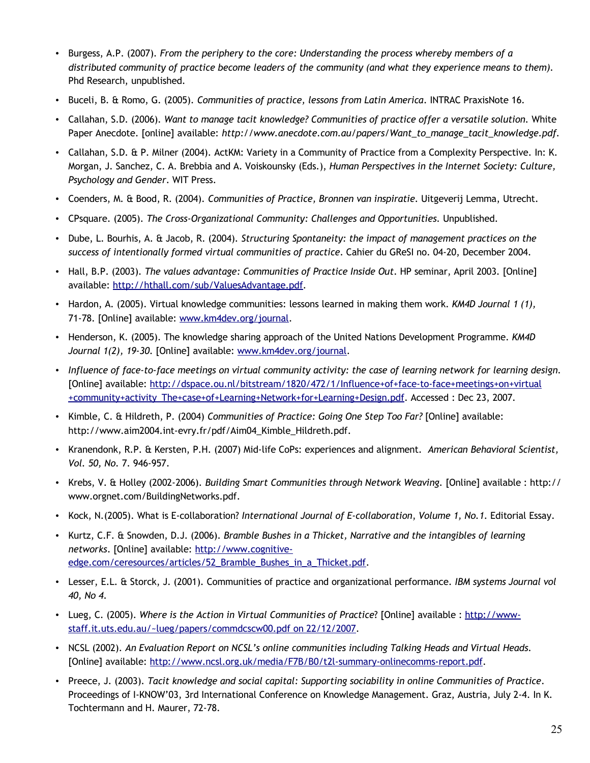- Burgess, A.P. (2007). *From the periphery to the core: Understanding the process whereby members of a distributed community of practice become leaders of the community (and what they experience means to them).* Phd Research, unpublished.
- Buceli, B. & Romo, G. (2005). *Communities of practice, lessons from Latin America*. INTRAC PraxisNote 16.
- Callahan, S.D. (2006). *Want to manage tacit knowledge? Communities of practice offer a versatile solution.* White Paper Anecdote. [online] available: *http://www.anecdote.com.au/papers/Want\_to\_manage\_tacit\_knowledge.pdf.*
- Callahan, S.D. & P. Milner (2004). ActKM: Variety in a Community of Practice from a Complexity Perspective. In: K. Morgan, J. Sanchez, C. A. Brebbia and A. Voiskounsky (Eds.), *Human Perspectives in the Internet Society: Culture, Psychology and Gender*. WIT Press.
- Coenders, M. & Bood, R. (2004). *Communities of Practice, Bronnen van inspiratie.* Uitgeverij Lemma, Utrecht*.*
- CPsquare. (2005). *The Cross-Organizational Community: Challenges and Opportunities.* Unpublished.
- Dube, L. Bourhis, A. & Jacob, R. (2004). *Structuring Spontaneity: the impact of management practices on the success of intentionally formed virtual communities of practice*. Cahier du GReSI no. 04-20, December 2004.
- Hall, B.P. (2003). *The values advantage: Communities of Practice Inside Out*. HP seminar, April 2003. [Online] available: [http://hthall.com/sub/ValuesAdvantage.pdf.](http://hthall.com/sub/ValuesAdvantage.pdf)
- Hardon, A. (2005). Virtual knowledge communities: lessons learned in making them work. *KM4D Journal 1 (1),* 71-78. [Online] available: [www.km4dev.org/journal.](http://www.km4dev.org/journal)
- Henderson, K. (2005). The knowledge sharing approach of the United Nations Development Programme. *KM4D Journal 1(2), 19-30*. [Online] available: [www.km4dev.org/journal.](http://www.km4dev.org/journal)
- *Influence of face-to-face meetings on virtual community activity: the case of learning network for learning design.* [Online] available: [http://dspace.ou.nl/bitstream/1820/472/1/Influence+of+face-to-face+meetings+on+virtual](http://dspace.ou.nl/bitstream/1820/472/1/Influence+of+face-to-face+meetings+on+virtual+community+activity_The+case+of+Learning+Network+for+Learning+Design.pdf) [+community+activity\\_The+case+of+Learning+Network+for+Learning+Design.pdf.](http://dspace.ou.nl/bitstream/1820/472/1/Influence+of+face-to-face+meetings+on+virtual+community+activity_The+case+of+Learning+Network+for+Learning+Design.pdf) Accessed : Dec 23, 2007.
- Kimble, C. & Hildreth, P. (2004) *Communities of Practice: Going One Step Too Far?* [Online] available: http://www.aim2004.int-evry.fr/pdf/Aim04\_Kimble\_Hildreth.pdf.
- Kranendonk, R.P. & Kersten, P.H. (2007) Mid-life CoPs: experiences and alignment. *American Behavioral Scientist, Vol. 50, No.* 7. 946-957.
- Krebs, V. & Holley (2002-2006). *Building Smart Communities through Network Weaving.* [Online] available : http:// www.orgnet.com/BuildingNetworks.pdf.
- Kock, N.(2005). What is E-collaboration? *International Journal of E-collaboration*, *Volume 1, No.1*. Editorial Essay.
- Kurtz, C.F. & Snowden, D.J. (2006). *Bramble Bushes in a Thicket, Narrative and the intangibles of learning networks*. [Online] available: [http://www.cognitive](http://www.cognitive-edge.com/ceresources/articles/52_Bramble_Bushes_in_a_Thicket.pdf)[edge.com/ceresources/articles/52\\_Bramble\\_Bushes\\_in\\_a\\_Thicket.pdf.](http://www.cognitive-edge.com/ceresources/articles/52_Bramble_Bushes_in_a_Thicket.pdf)
- Lesser, E.L. & Storck, J. (2001). Communities of practice and organizational performance. *IBM systems Journal vol 40, No 4*.
- Lueg, C. (2005). *Where is the Action in Virtual Communities of Practice*? [Online] available : [http://www](http://www-staff.it.uts.edu.au/~lueg/papers/commdcscw00.pdf%20on%2022/12/2007)[staff.it.uts.edu.au/~lueg/papers/commdcscw00.pdf on 22/12/2007.](http://www-staff.it.uts.edu.au/~lueg/papers/commdcscw00.pdf%20on%2022/12/2007)
- NCSL (2002). *An Evaluation Report on NCSL's online communities including Talking Heads and Virtual Heads.* [Online] available: [http://www.ncsl.org.uk/media/F7B/B0/t2l-summary-onlinecomms-report.pdf.](http://www.ncsl.org.uk/media/F7B/B0/t2l-summary-onlinecomms-report.pdf)
- Preece, J. (2003). *Tacit knowledge and social capital: Supporting sociability in online Communities of Practice*. Proceedings of I-KNOW'03, 3rd International Conference on Knowledge Management. Graz, Austria, July 2-4. In K. Tochtermann and H. Maurer, 72-78.